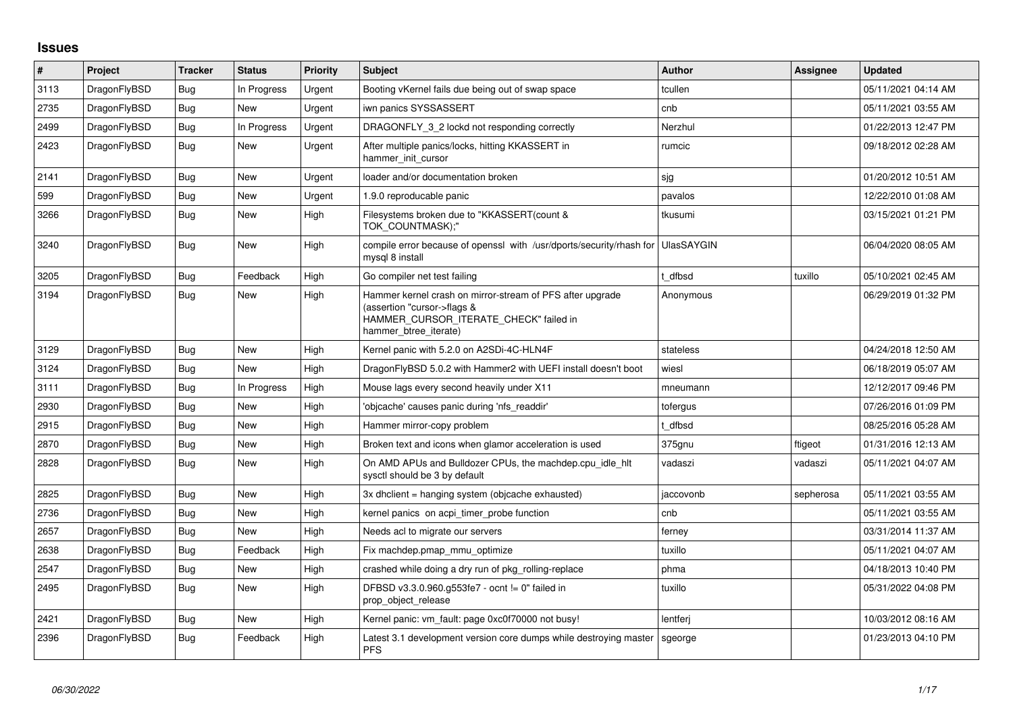## **Issues**

| $\vert$ # | Project      | <b>Tracker</b> | <b>Status</b> | Priority | <b>Subject</b>                                                                                                                                              | <b>Author</b>     | Assignee  | <b>Updated</b>      |
|-----------|--------------|----------------|---------------|----------|-------------------------------------------------------------------------------------------------------------------------------------------------------------|-------------------|-----------|---------------------|
| 3113      | DragonFlyBSD | Bug            | In Progress   | Urgent   | Booting vKernel fails due being out of swap space                                                                                                           | tcullen           |           | 05/11/2021 04:14 AM |
| 2735      | DragonFlyBSD | Bug            | New           | Urgent   | iwn panics SYSSASSERT                                                                                                                                       | cnb               |           | 05/11/2021 03:55 AM |
| 2499      | DragonFlyBSD | Bug            | In Progress   | Urgent   | DRAGONFLY 3 2 lockd not responding correctly                                                                                                                | Nerzhul           |           | 01/22/2013 12:47 PM |
| 2423      | DragonFlyBSD | Bug            | New           | Urgent   | After multiple panics/locks, hitting KKASSERT in<br>hammer init cursor                                                                                      | rumcic            |           | 09/18/2012 02:28 AM |
| 2141      | DragonFlyBSD | <b>Bug</b>     | <b>New</b>    | Urgent   | loader and/or documentation broken                                                                                                                          | sjg               |           | 01/20/2012 10:51 AM |
| 599       | DragonFlyBSD | Bug            | New           | Urgent   | 1.9.0 reproducable panic                                                                                                                                    | pavalos           |           | 12/22/2010 01:08 AM |
| 3266      | DragonFlyBSD | <b>Bug</b>     | New           | High     | Filesystems broken due to "KKASSERT(count &<br>TOK COUNTMASK);"                                                                                             | tkusumi           |           | 03/15/2021 01:21 PM |
| 3240      | DragonFlyBSD | <b>Bug</b>     | <b>New</b>    | High     | compile error because of openssl with /usr/dports/security/rhash for<br>mysql 8 install                                                                     | <b>UlasSAYGIN</b> |           | 06/04/2020 08:05 AM |
| 3205      | DragonFlyBSD | <b>Bug</b>     | Feedback      | High     | Go compiler net test failing                                                                                                                                | dfbsd             | tuxillo   | 05/10/2021 02:45 AM |
| 3194      | DragonFlyBSD | Bug            | New           | High     | Hammer kernel crash on mirror-stream of PFS after upgrade<br>(assertion "cursor->flags &<br>HAMMER_CURSOR_ITERATE_CHECK" failed in<br>hammer btree iterate) | Anonymous         |           | 06/29/2019 01:32 PM |
| 3129      | DragonFlyBSD | Bug            | New           | High     | Kernel panic with 5.2.0 on A2SDi-4C-HLN4F                                                                                                                   | stateless         |           | 04/24/2018 12:50 AM |
| 3124      | DragonFlyBSD | Bug            | <b>New</b>    | High     | DragonFlyBSD 5.0.2 with Hammer2 with UEFI install doesn't boot                                                                                              | wiesl             |           | 06/18/2019 05:07 AM |
| 3111      | DragonFlyBSD | Bug            | In Progress   | High     | Mouse lags every second heavily under X11                                                                                                                   | mneumann          |           | 12/12/2017 09:46 PM |
| 2930      | DragonFlyBSD | <b>Bug</b>     | <b>New</b>    | High     | 'objcache' causes panic during 'nfs_readdir'                                                                                                                | tofergus          |           | 07/26/2016 01:09 PM |
| 2915      | DragonFlyBSD | Bug            | New           | High     | Hammer mirror-copy problem                                                                                                                                  | t dfbsd           |           | 08/25/2016 05:28 AM |
| 2870      | DragonFlyBSD | Bug            | New           | High     | Broken text and icons when glamor acceleration is used                                                                                                      | 375gnu            | ftigeot   | 01/31/2016 12:13 AM |
| 2828      | DragonFlyBSD | Bug            | New           | High     | On AMD APUs and Bulldozer CPUs, the machdep.cpu_idle_hlt<br>sysctl should be 3 by default                                                                   | vadaszi           | vadaszi   | 05/11/2021 04:07 AM |
| 2825      | DragonFlyBSD | <b>Bug</b>     | <b>New</b>    | High     | 3x dhclient = hanging system (objcache exhausted)                                                                                                           | jaccovonb         | sepherosa | 05/11/2021 03:55 AM |
| 2736      | DragonFlyBSD | <b>Bug</b>     | New           | High     | kernel panics on acpi timer probe function                                                                                                                  | cnb               |           | 05/11/2021 03:55 AM |
| 2657      | DragonFlyBSD | Bug            | New           | High     | Needs acl to migrate our servers                                                                                                                            | ferney            |           | 03/31/2014 11:37 AM |
| 2638      | DragonFlyBSD | Bug            | Feedback      | High     | Fix machdep.pmap mmu optimize                                                                                                                               | tuxillo           |           | 05/11/2021 04:07 AM |
| 2547      | DragonFlyBSD | Bug            | New           | High     | crashed while doing a dry run of pkg_rolling-replace                                                                                                        | phma              |           | 04/18/2013 10:40 PM |
| 2495      | DragonFlyBSD | <b>Bug</b>     | New           | High     | DFBSD v3.3.0.960.g553fe7 - ocnt != 0" failed in<br>prop_object_release                                                                                      | tuxillo           |           | 05/31/2022 04:08 PM |
| 2421      | DragonFlyBSD | Bug            | New           | High     | Kernel panic: vm fault: page 0xc0f70000 not busy!                                                                                                           | lentferj          |           | 10/03/2012 08:16 AM |
| 2396      | DragonFlyBSD | Bug            | Feedback      | High     | Latest 3.1 development version core dumps while destroying master<br><b>PFS</b>                                                                             | sgeorge           |           | 01/23/2013 04:10 PM |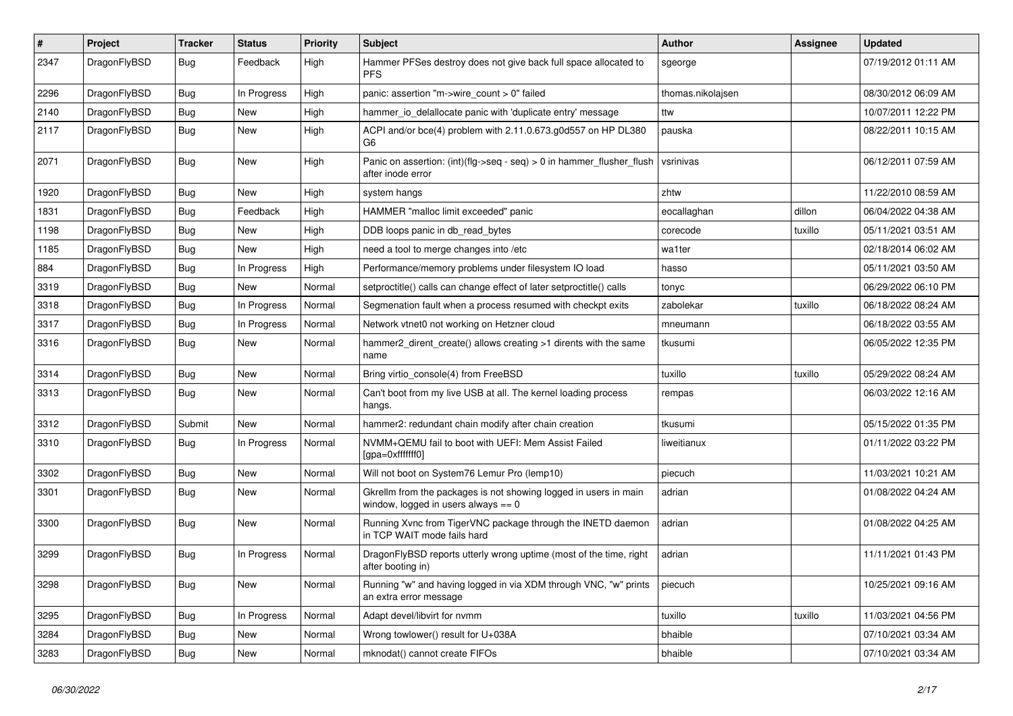| $\vert$ # | Project      | <b>Tracker</b> | <b>Status</b> | <b>Priority</b> | <b>Subject</b>                                                                                            | <b>Author</b>     | Assignee | <b>Updated</b>      |
|-----------|--------------|----------------|---------------|-----------------|-----------------------------------------------------------------------------------------------------------|-------------------|----------|---------------------|
| 2347      | DragonFlyBSD | <b>Bug</b>     | Feedback      | High            | Hammer PFSes destroy does not give back full space allocated to<br><b>PFS</b>                             | sgeorge           |          | 07/19/2012 01:11 AM |
| 2296      | DragonFlyBSD | Bug            | In Progress   | High            | panic: assertion "m->wire_count > 0" failed                                                               | thomas.nikolajsen |          | 08/30/2012 06:09 AM |
| 2140      | DragonFlyBSD | Bug            | New           | High            | hammer_io_delallocate panic with 'duplicate entry' message                                                | ttw               |          | 10/07/2011 12:22 PM |
| 2117      | DragonFlyBSD | Bug            | New           | High            | ACPI and/or bce(4) problem with 2.11.0.673.g0d557 on HP DL380<br>G6                                       | pauska            |          | 08/22/2011 10:15 AM |
| 2071      | DragonFlyBSD | <b>Bug</b>     | New           | High            | Panic on assertion: (int)(flg->seq - seq) > 0 in hammer flusher flush<br>after inode error                | vsrinivas         |          | 06/12/2011 07:59 AM |
| 1920      | DragonFlyBSD | <b>Bug</b>     | <b>New</b>    | High            | system hangs                                                                                              | zhtw              |          | 11/22/2010 08:59 AM |
| 1831      | DragonFlyBSD | Bug            | Feedback      | High            | HAMMER "malloc limit exceeded" panic                                                                      | eocallaghan       | dillon   | 06/04/2022 04:38 AM |
| 1198      | DragonFlyBSD | <b>Bug</b>     | <b>New</b>    | High            | DDB loops panic in db_read_bytes                                                                          | corecode          | tuxillo  | 05/11/2021 03:51 AM |
| 1185      | DragonFlyBSD | <b>Bug</b>     | <b>New</b>    | High            | need a tool to merge changes into /etc                                                                    | wa1ter            |          | 02/18/2014 06:02 AM |
| 884       | DragonFlyBSD | <b>Bug</b>     | In Progress   | High            | Performance/memory problems under filesystem IO load                                                      | hasso             |          | 05/11/2021 03:50 AM |
| 3319      | DragonFlyBSD | <b>Bug</b>     | <b>New</b>    | Normal          | setproctitle() calls can change effect of later setproctitle() calls                                      | tonyc             |          | 06/29/2022 06:10 PM |
| 3318      | DragonFlyBSD | <b>Bug</b>     | In Progress   | Normal          | Segmenation fault when a process resumed with checkpt exits                                               | zabolekar         | tuxillo  | 06/18/2022 08:24 AM |
| 3317      | DragonFlyBSD | Bug            | In Progress   | Normal          | Network vtnet0 not working on Hetzner cloud                                                               | mneumann          |          | 06/18/2022 03:55 AM |
| 3316      | DragonFlyBSD | Bug            | <b>New</b>    | Normal          | hammer2 dirent create() allows creating >1 dirents with the same<br>name                                  | tkusumi           |          | 06/05/2022 12:35 PM |
| 3314      | DragonFlyBSD | <b>Bug</b>     | <b>New</b>    | Normal          | Bring virtio console(4) from FreeBSD                                                                      | tuxillo           | tuxillo  | 05/29/2022 08:24 AM |
| 3313      | DragonFlyBSD | Bug            | New           | Normal          | Can't boot from my live USB at all. The kernel loading process<br>hangs.                                  | rempas            |          | 06/03/2022 12:16 AM |
| 3312      | DragonFlyBSD | Submit         | New           | Normal          | hammer2: redundant chain modify after chain creation                                                      | tkusumi           |          | 05/15/2022 01:35 PM |
| 3310      | DragonFlyBSD | <b>Bug</b>     | In Progress   | Normal          | NVMM+QEMU fail to boot with UEFI: Mem Assist Failed<br>[gpa=0xfffffff0]                                   | liweitianux       |          | 01/11/2022 03:22 PM |
| 3302      | DragonFlyBSD | <b>Bug</b>     | New           | Normal          | Will not boot on System76 Lemur Pro (lemp10)                                                              | piecuch           |          | 11/03/2021 10:21 AM |
| 3301      | DragonFlyBSD | <b>Bug</b>     | <b>New</b>    | Normal          | Gkrellm from the packages is not showing logged in users in main<br>window, logged in users always $== 0$ | adrian            |          | 01/08/2022 04:24 AM |
| 3300      | DragonFlyBSD | <b>Bug</b>     | New           | Normal          | Running Xvnc from TigerVNC package through the INETD daemon<br>in TCP WAIT mode fails hard                | adrian            |          | 01/08/2022 04:25 AM |
| 3299      | DragonFlyBSD | Bug            | In Progress   | Normal          | DragonFlyBSD reports utterly wrong uptime (most of the time, right<br>after booting in)                   | adrian            |          | 11/11/2021 01:43 PM |
| 3298      | DragonFlyBSD | Bug            | <b>New</b>    | Normal          | Running "w" and having logged in via XDM through VNC, "w" prints<br>an extra error message                | piecuch           |          | 10/25/2021 09:16 AM |
| 3295      | DragonFlyBSD | Bug            | In Progress   | Normal          | Adapt devel/libvirt for nvmm                                                                              | tuxillo           | tuxillo  | 11/03/2021 04:56 PM |
| 3284      | DragonFlyBSD | <b>Bug</b>     | New           | Normal          | Wrong towlower() result for U+038A                                                                        | bhaible           |          | 07/10/2021 03:34 AM |
| 3283      | DragonFlyBSD | <b>Bug</b>     | New           | Normal          | mknodat() cannot create FIFOs                                                                             | bhaible           |          | 07/10/2021 03:34 AM |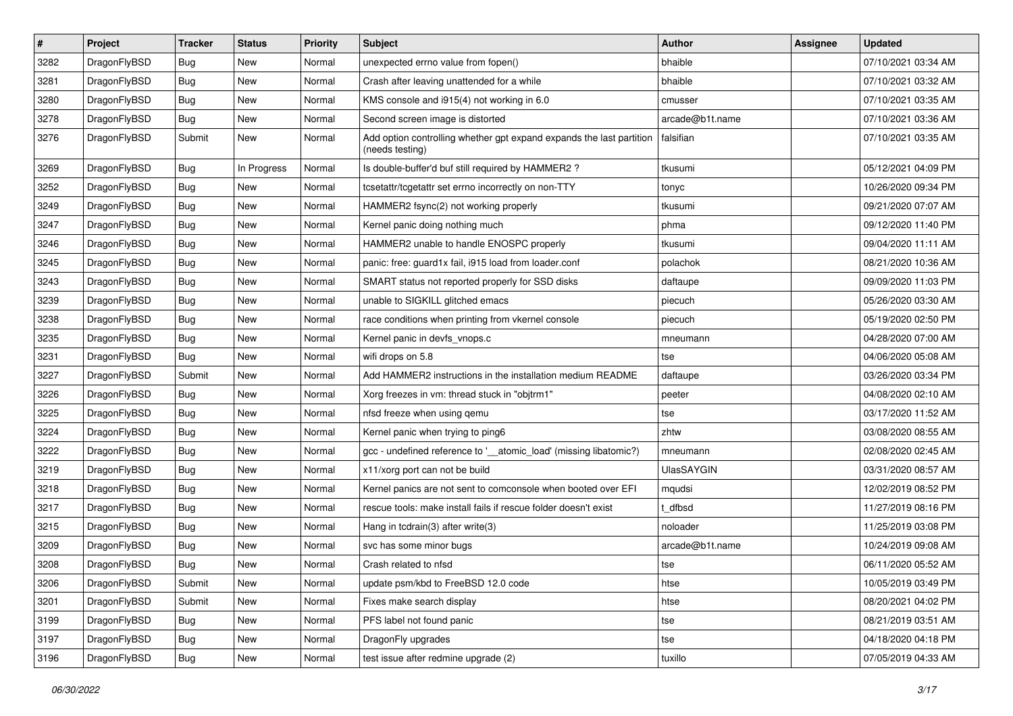| $\sharp$ | Project      | <b>Tracker</b> | <b>Status</b> | <b>Priority</b> | Subject                                                                                 | <b>Author</b>     | Assignee | <b>Updated</b>      |
|----------|--------------|----------------|---------------|-----------------|-----------------------------------------------------------------------------------------|-------------------|----------|---------------------|
| 3282     | DragonFlyBSD | <b>Bug</b>     | New           | Normal          | unexpected errno value from fopen()                                                     | bhaible           |          | 07/10/2021 03:34 AM |
| 3281     | DragonFlyBSD | <b>Bug</b>     | <b>New</b>    | Normal          | Crash after leaving unattended for a while                                              | bhaible           |          | 07/10/2021 03:32 AM |
| 3280     | DragonFlyBSD | <b>Bug</b>     | New           | Normal          | KMS console and i915(4) not working in 6.0                                              | cmusser           |          | 07/10/2021 03:35 AM |
| 3278     | DragonFlyBSD | <b>Bug</b>     | New           | Normal          | Second screen image is distorted                                                        | arcade@b1t.name   |          | 07/10/2021 03:36 AM |
| 3276     | DragonFlyBSD | Submit         | <b>New</b>    | Normal          | Add option controlling whether gpt expand expands the last partition<br>(needs testing) | falsifian         |          | 07/10/2021 03:35 AM |
| 3269     | DragonFlyBSD | <b>Bug</b>     | In Progress   | Normal          | Is double-buffer'd buf still required by HAMMER2 ?                                      | tkusumi           |          | 05/12/2021 04:09 PM |
| 3252     | DragonFlyBSD | <b>Bug</b>     | New           | Normal          | tcsetattr/tcgetattr set errno incorrectly on non-TTY                                    | tonyc             |          | 10/26/2020 09:34 PM |
| 3249     | DragonFlyBSD | <b>Bug</b>     | New           | Normal          | HAMMER2 fsync(2) not working properly                                                   | tkusumi           |          | 09/21/2020 07:07 AM |
| 3247     | DragonFlyBSD | <b>Bug</b>     | <b>New</b>    | Normal          | Kernel panic doing nothing much                                                         | phma              |          | 09/12/2020 11:40 PM |
| 3246     | DragonFlyBSD | <b>Bug</b>     | <b>New</b>    | Normal          | HAMMER2 unable to handle ENOSPC properly                                                | tkusumi           |          | 09/04/2020 11:11 AM |
| 3245     | DragonFlyBSD | <b>Bug</b>     | <b>New</b>    | Normal          | panic: free: guard1x fail, i915 load from loader.conf                                   | polachok          |          | 08/21/2020 10:36 AM |
| 3243     | DragonFlyBSD | <b>Bug</b>     | <b>New</b>    | Normal          | SMART status not reported properly for SSD disks                                        | daftaupe          |          | 09/09/2020 11:03 PM |
| 3239     | DragonFlyBSD | <b>Bug</b>     | New           | Normal          | unable to SIGKILL glitched emacs                                                        | piecuch           |          | 05/26/2020 03:30 AM |
| 3238     | DragonFlyBSD | <b>Bug</b>     | <b>New</b>    | Normal          | race conditions when printing from vkernel console                                      | piecuch           |          | 05/19/2020 02:50 PM |
| 3235     | DragonFlyBSD | <b>Bug</b>     | New           | Normal          | Kernel panic in devfs_vnops.c                                                           | mneumann          |          | 04/28/2020 07:00 AM |
| 3231     | DragonFlyBSD | <b>Bug</b>     | <b>New</b>    | Normal          | wifi drops on 5.8                                                                       | tse               |          | 04/06/2020 05:08 AM |
| 3227     | DragonFlyBSD | Submit         | New           | Normal          | Add HAMMER2 instructions in the installation medium README                              | daftaupe          |          | 03/26/2020 03:34 PM |
| 3226     | DragonFlyBSD | <b>Bug</b>     | New           | Normal          | Xorg freezes in vm: thread stuck in "objtrm1"                                           | peeter            |          | 04/08/2020 02:10 AM |
| 3225     | DragonFlyBSD | <b>Bug</b>     | <b>New</b>    | Normal          | nfsd freeze when using qemu                                                             | tse               |          | 03/17/2020 11:52 AM |
| 3224     | DragonFlyBSD | <b>Bug</b>     | <b>New</b>    | Normal          | Kernel panic when trying to ping6                                                       | zhtw              |          | 03/08/2020 08:55 AM |
| 3222     | DragonFlyBSD | <b>Bug</b>     | New           | Normal          | gcc - undefined reference to '__atomic_load' (missing libatomic?)                       | mneumann          |          | 02/08/2020 02:45 AM |
| 3219     | DragonFlyBSD | <b>Bug</b>     | <b>New</b>    | Normal          | x11/xorg port can not be build                                                          | <b>UlasSAYGIN</b> |          | 03/31/2020 08:57 AM |
| 3218     | DragonFlyBSD | <b>Bug</b>     | <b>New</b>    | Normal          | Kernel panics are not sent to comconsole when booted over EFI                           | mqudsi            |          | 12/02/2019 08:52 PM |
| 3217     | DragonFlyBSD | <b>Bug</b>     | New           | Normal          | rescue tools: make install fails if rescue folder doesn't exist                         | t dfbsd           |          | 11/27/2019 08:16 PM |
| 3215     | DragonFlyBSD | <b>Bug</b>     | New           | Normal          | Hang in tcdrain(3) after write(3)                                                       | noloader          |          | 11/25/2019 03:08 PM |
| 3209     | DragonFlyBSD | <b>Bug</b>     | <b>New</b>    | Normal          | svc has some minor bugs                                                                 | arcade@b1t.name   |          | 10/24/2019 09:08 AM |
| 3208     | DragonFlyBSD | <b>Bug</b>     | New           | Normal          | Crash related to nfsd                                                                   | tse               |          | 06/11/2020 05:52 AM |
| 3206     | DragonFlyBSD | Submit         | New           | Normal          | update psm/kbd to FreeBSD 12.0 code                                                     | htse              |          | 10/05/2019 03:49 PM |
| 3201     | DragonFlyBSD | Submit         | <b>New</b>    | Normal          | Fixes make search display                                                               | htse              |          | 08/20/2021 04:02 PM |
| 3199     | DragonFlyBSD | <b>Bug</b>     | New           | Normal          | PFS label not found panic                                                               | tse               |          | 08/21/2019 03:51 AM |
| 3197     | DragonFlyBSD | <b>Bug</b>     | New           | Normal          | DragonFly upgrades                                                                      | tse               |          | 04/18/2020 04:18 PM |
| 3196     | DragonFlyBSD | <b>Bug</b>     | New           | Normal          | test issue after redmine upgrade (2)                                                    | tuxillo           |          | 07/05/2019 04:33 AM |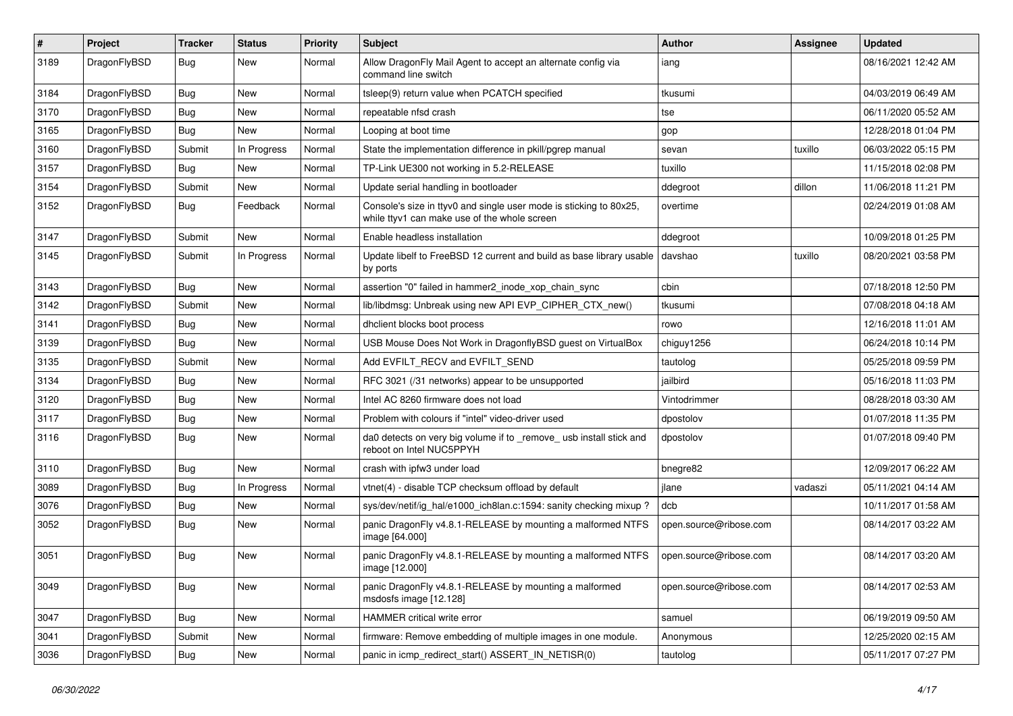| $\pmb{\#}$ | Project      | <b>Tracker</b> | <b>Status</b> | <b>Priority</b> | Subject                                                                                                            | Author                 | Assignee | <b>Updated</b>      |
|------------|--------------|----------------|---------------|-----------------|--------------------------------------------------------------------------------------------------------------------|------------------------|----------|---------------------|
| 3189       | DragonFlyBSD | Bug            | New           | Normal          | Allow DragonFly Mail Agent to accept an alternate config via<br>command line switch                                | iang                   |          | 08/16/2021 12:42 AM |
| 3184       | DragonFlyBSD | <b>Bug</b>     | <b>New</b>    | Normal          | tsleep(9) return value when PCATCH specified                                                                       | tkusumi                |          | 04/03/2019 06:49 AM |
| 3170       | DragonFlyBSD | Bug            | <b>New</b>    | Normal          | repeatable nfsd crash                                                                                              | tse                    |          | 06/11/2020 05:52 AM |
| 3165       | DragonFlyBSD | <b>Bug</b>     | New           | Normal          | Looping at boot time                                                                                               | gop                    |          | 12/28/2018 01:04 PM |
| 3160       | DragonFlyBSD | Submit         | In Progress   | Normal          | State the implementation difference in pkill/pgrep manual                                                          | sevan                  | tuxillo  | 06/03/2022 05:15 PM |
| 3157       | DragonFlyBSD | <b>Bug</b>     | New           | Normal          | TP-Link UE300 not working in 5.2-RELEASE                                                                           | tuxillo                |          | 11/15/2018 02:08 PM |
| 3154       | DragonFlyBSD | Submit         | New           | Normal          | Update serial handling in bootloader                                                                               | ddegroot               | dillon   | 11/06/2018 11:21 PM |
| 3152       | DragonFlyBSD | Bug            | Feedback      | Normal          | Console's size in ttyv0 and single user mode is sticking to 80x25,<br>while ttyv1 can make use of the whole screen | overtime               |          | 02/24/2019 01:08 AM |
| 3147       | DragonFlyBSD | Submit         | <b>New</b>    | Normal          | Enable headless installation                                                                                       | ddegroot               |          | 10/09/2018 01:25 PM |
| 3145       | DragonFlyBSD | Submit         | In Progress   | Normal          | Update libelf to FreeBSD 12 current and build as base library usable<br>by ports                                   | davshao                | tuxillo  | 08/20/2021 03:58 PM |
| 3143       | DragonFlyBSD | <b>Bug</b>     | New           | Normal          | assertion "0" failed in hammer2 inode xop chain sync                                                               | cbin                   |          | 07/18/2018 12:50 PM |
| 3142       | DragonFlyBSD | Submit         | <b>New</b>    | Normal          | lib/libdmsg: Unbreak using new API EVP_CIPHER_CTX_new()                                                            | tkusumi                |          | 07/08/2018 04:18 AM |
| 3141       | DragonFlyBSD | <b>Bug</b>     | New           | Normal          | dhclient blocks boot process                                                                                       | rowo                   |          | 12/16/2018 11:01 AM |
| 3139       | DragonFlyBSD | Bug            | New           | Normal          | USB Mouse Does Not Work in DragonflyBSD guest on VirtualBox                                                        | chiguy1256             |          | 06/24/2018 10:14 PM |
| 3135       | DragonFlyBSD | Submit         | New           | Normal          | Add EVFILT_RECV and EVFILT_SEND                                                                                    | tautolog               |          | 05/25/2018 09:59 PM |
| 3134       | DragonFlyBSD | Bug            | New           | Normal          | RFC 3021 (/31 networks) appear to be unsupported                                                                   | jailbird               |          | 05/16/2018 11:03 PM |
| 3120       | DragonFlyBSD | Bug            | <b>New</b>    | Normal          | Intel AC 8260 firmware does not load                                                                               | Vintodrimmer           |          | 08/28/2018 03:30 AM |
| 3117       | DragonFlyBSD | <b>Bug</b>     | New           | Normal          | Problem with colours if "intel" video-driver used                                                                  | dpostolov              |          | 01/07/2018 11:35 PM |
| 3116       | DragonFlyBSD | Bug            | New           | Normal          | da0 detects on very big volume if to _remove_ usb install stick and<br>reboot on Intel NUC5PPYH                    | dpostolov              |          | 01/07/2018 09:40 PM |
| 3110       | DragonFlyBSD | Bug            | New           | Normal          | crash with ipfw3 under load                                                                                        | bnegre82               |          | 12/09/2017 06:22 AM |
| 3089       | DragonFlyBSD | Bug            | In Progress   | Normal          | vtnet(4) - disable TCP checksum offload by default                                                                 | jlane                  | vadaszi  | 05/11/2021 04:14 AM |
| 3076       | DragonFlyBSD | <b>Bug</b>     | New           | Normal          | sys/dev/netif/ig_hal/e1000_ich8lan.c:1594: sanity checking mixup ?                                                 | dcb                    |          | 10/11/2017 01:58 AM |
| 3052       | DragonFlyBSD | Bug            | New           | Normal          | panic DragonFly v4.8.1-RELEASE by mounting a malformed NTFS<br>image [64.000]                                      | open.source@ribose.com |          | 08/14/2017 03:22 AM |
| 3051       | DragonFlyBSD | Bug            | New           | Normal          | panic DragonFly v4.8.1-RELEASE by mounting a malformed NTFS<br>image [12.000]                                      | open.source@ribose.com |          | 08/14/2017 03:20 AM |
| 3049       | DragonFlyBSD | Bug            | New           | Normal          | panic DragonFly v4.8.1-RELEASE by mounting a malformed<br>msdosfs image [12.128]                                   | open.source@ribose.com |          | 08/14/2017 02:53 AM |
| 3047       | DragonFlyBSD | <b>Bug</b>     | New           | Normal          | HAMMER critical write error                                                                                        | samuel                 |          | 06/19/2019 09:50 AM |
| 3041       | DragonFlyBSD | Submit         | New           | Normal          | firmware: Remove embedding of multiple images in one module.                                                       | Anonymous              |          | 12/25/2020 02:15 AM |
| 3036       | DragonFlyBSD | Bug            | New           | Normal          | panic in icmp_redirect_start() ASSERT_IN_NETISR(0)                                                                 | tautolog               |          | 05/11/2017 07:27 PM |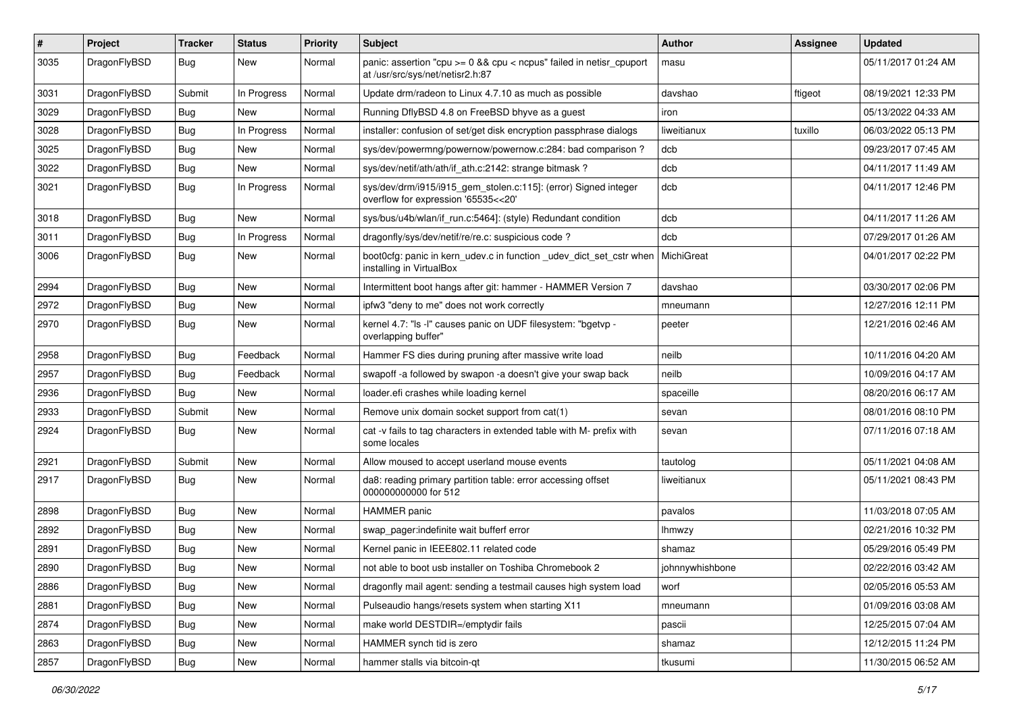| $\sharp$ | Project      | <b>Tracker</b> | <b>Status</b> | <b>Priority</b> | Subject                                                                                                 | <b>Author</b>   | Assignee | <b>Updated</b>      |
|----------|--------------|----------------|---------------|-----------------|---------------------------------------------------------------------------------------------------------|-----------------|----------|---------------------|
| 3035     | DragonFlyBSD | Bug            | New           | Normal          | panic: assertion "cpu >= 0 && cpu < ncpus" failed in netisr_cpuport<br>at /usr/src/sys/net/netisr2.h:87 | masu            |          | 05/11/2017 01:24 AM |
| 3031     | DragonFlyBSD | Submit         | In Progress   | Normal          | Update drm/radeon to Linux 4.7.10 as much as possible                                                   | davshao         | ftigeot  | 08/19/2021 12:33 PM |
| 3029     | DragonFlyBSD | <b>Bug</b>     | New           | Normal          | Running DflyBSD 4.8 on FreeBSD bhyve as a guest                                                         | iron            |          | 05/13/2022 04:33 AM |
| 3028     | DragonFlyBSD | Bug            | In Progress   | Normal          | installer: confusion of set/get disk encryption passphrase dialogs                                      | liweitianux     | tuxillo  | 06/03/2022 05:13 PM |
| 3025     | DragonFlyBSD | <b>Bug</b>     | New           | Normal          | sys/dev/powermng/powernow/powernow.c:284: bad comparison?                                               | dcb             |          | 09/23/2017 07:45 AM |
| 3022     | DragonFlyBSD | <b>Bug</b>     | <b>New</b>    | Normal          | sys/dev/netif/ath/ath/if ath.c:2142: strange bitmask?                                                   | dcb             |          | 04/11/2017 11:49 AM |
| 3021     | DragonFlyBSD | <b>Bug</b>     | In Progress   | Normal          | sys/dev/drm/i915/i915_gem_stolen.c:115]: (error) Signed integer<br>overflow for expression '65535<<20'  | dcb             |          | 04/11/2017 12:46 PM |
| 3018     | DragonFlyBSD | <b>Bug</b>     | New           | Normal          | sys/bus/u4b/wlan/if_run.c:5464]: (style) Redundant condition                                            | dcb             |          | 04/11/2017 11:26 AM |
| 3011     | DragonFlyBSD | <b>Bug</b>     | In Progress   | Normal          | dragonfly/sys/dev/netif/re/re.c: suspicious code?                                                       | dcb             |          | 07/29/2017 01:26 AM |
| 3006     | DragonFlyBSD | <b>Bug</b>     | <b>New</b>    | Normal          | boot0cfg: panic in kern_udev.c in function _udev_dict_set_cstr when<br>installing in VirtualBox         | MichiGreat      |          | 04/01/2017 02:22 PM |
| 2994     | DragonFlyBSD | <b>Bug</b>     | New           | Normal          | Intermittent boot hangs after git: hammer - HAMMER Version 7                                            | davshao         |          | 03/30/2017 02:06 PM |
| 2972     | DragonFlyBSD | <b>Bug</b>     | New           | Normal          | ipfw3 "deny to me" does not work correctly                                                              | mneumann        |          | 12/27/2016 12:11 PM |
| 2970     | DragonFlyBSD | <b>Bug</b>     | <b>New</b>    | Normal          | kernel 4.7: "Is -I" causes panic on UDF filesystem: "bgetvp -<br>overlapping buffer"                    | peeter          |          | 12/21/2016 02:46 AM |
| 2958     | DragonFlyBSD | Bug            | Feedback      | Normal          | Hammer FS dies during pruning after massive write load                                                  | neilb           |          | 10/11/2016 04:20 AM |
| 2957     | DragonFlyBSD | <b>Bug</b>     | Feedback      | Normal          | swapoff -a followed by swapon -a doesn't give your swap back                                            | neilb           |          | 10/09/2016 04:17 AM |
| 2936     | DragonFlyBSD | <b>Bug</b>     | New           | Normal          | loader.efi crashes while loading kernel                                                                 | spaceille       |          | 08/20/2016 06:17 AM |
| 2933     | DragonFlyBSD | Submit         | New           | Normal          | Remove unix domain socket support from cat(1)                                                           | sevan           |          | 08/01/2016 08:10 PM |
| 2924     | DragonFlyBSD | <b>Bug</b>     | New           | Normal          | cat -v fails to tag characters in extended table with M- prefix with<br>some locales                    | sevan           |          | 07/11/2016 07:18 AM |
| 2921     | DragonFlyBSD | Submit         | New           | Normal          | Allow moused to accept userland mouse events                                                            | tautolog        |          | 05/11/2021 04:08 AM |
| 2917     | DragonFlyBSD | Bug            | New           | Normal          | da8: reading primary partition table: error accessing offset<br>000000000000 for 512                    | liweitianux     |          | 05/11/2021 08:43 PM |
| 2898     | DragonFlyBSD | <b>Bug</b>     | <b>New</b>    | Normal          | HAMMER panic                                                                                            | pavalos         |          | 11/03/2018 07:05 AM |
| 2892     | DragonFlyBSD | <b>Bug</b>     | New           | Normal          | swap pager:indefinite wait bufferf error                                                                | lhmwzy          |          | 02/21/2016 10:32 PM |
| 2891     | DragonFlyBSD | Bug            | New           | Normal          | Kernel panic in IEEE802.11 related code                                                                 | shamaz          |          | 05/29/2016 05:49 PM |
| 2890     | DragonFlyBSD | Bug            | <b>New</b>    | Normal          | not able to boot usb installer on Toshiba Chromebook 2                                                  | johnnywhishbone |          | 02/22/2016 03:42 AM |
| 2886     | DragonFlyBSD | Bug            | <b>New</b>    | Normal          | dragonfly mail agent: sending a testmail causes high system load                                        | worf            |          | 02/05/2016 05:53 AM |
| 2881     | DragonFlyBSD | Bug            | New           | Normal          | Pulseaudio hangs/resets system when starting X11                                                        | mneumann        |          | 01/09/2016 03:08 AM |
| 2874     | DragonFlyBSD | <b>Bug</b>     | New           | Normal          | make world DESTDIR=/emptydir fails                                                                      | pascii          |          | 12/25/2015 07:04 AM |
| 2863     | DragonFlyBSD | <b>Bug</b>     | <b>New</b>    | Normal          | HAMMER synch tid is zero                                                                                | shamaz          |          | 12/12/2015 11:24 PM |
| 2857     | DragonFlyBSD | <b>Bug</b>     | New           | Normal          | hammer stalls via bitcoin-qt                                                                            | tkusumi         |          | 11/30/2015 06:52 AM |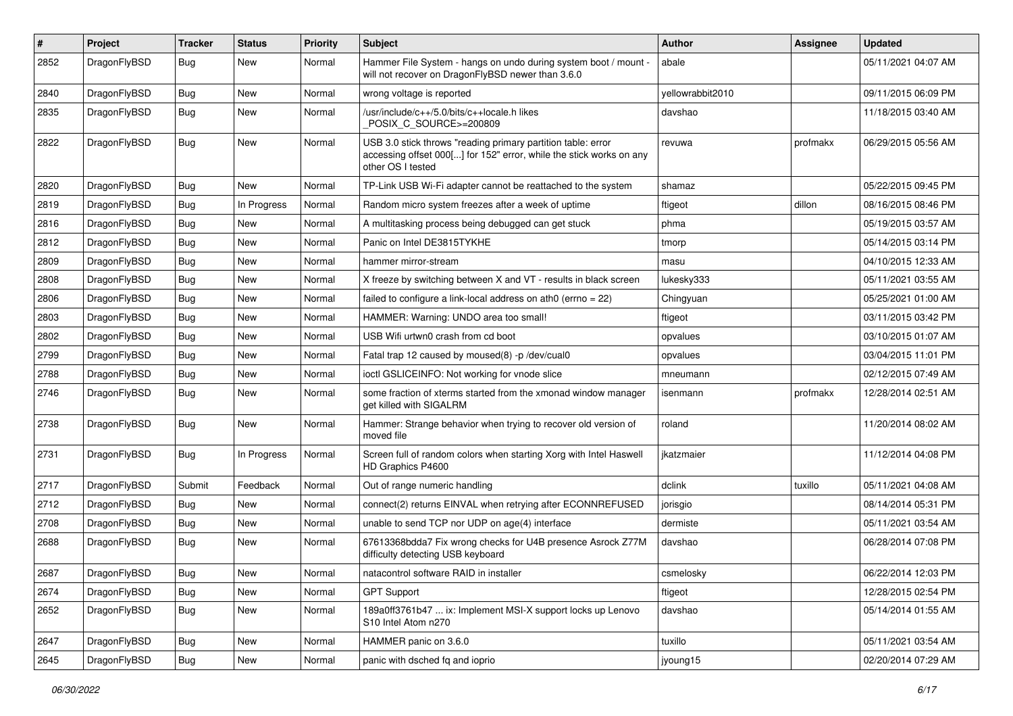| $\pmb{\#}$ | Project      | <b>Tracker</b> | <b>Status</b> | <b>Priority</b> | Subject                                                                                                                                                  | <b>Author</b>    | <b>Assignee</b> | <b>Updated</b>      |
|------------|--------------|----------------|---------------|-----------------|----------------------------------------------------------------------------------------------------------------------------------------------------------|------------------|-----------------|---------------------|
| 2852       | DragonFlyBSD | Bug            | New           | Normal          | Hammer File System - hangs on undo during system boot / mount -<br>will not recover on DragonFlyBSD newer than 3.6.0                                     | abale            |                 | 05/11/2021 04:07 AM |
| 2840       | DragonFlyBSD | <b>Bug</b>     | <b>New</b>    | Normal          | wrong voltage is reported                                                                                                                                | vellowrabbit2010 |                 | 09/11/2015 06:09 PM |
| 2835       | DragonFlyBSD | Bug            | <b>New</b>    | Normal          | /usr/include/c++/5.0/bits/c++locale.h likes<br>POSIX_C_SOURCE>=200809                                                                                    | davshao          |                 | 11/18/2015 03:40 AM |
| 2822       | DragonFlyBSD | <b>Bug</b>     | <b>New</b>    | Normal          | USB 3.0 stick throws "reading primary partition table: error<br>accessing offset 000[] for 152" error, while the stick works on any<br>other OS I tested | revuwa           | profmakx        | 06/29/2015 05:56 AM |
| 2820       | DragonFlyBSD | Bug            | New           | Normal          | TP-Link USB Wi-Fi adapter cannot be reattached to the system                                                                                             | shamaz           |                 | 05/22/2015 09:45 PM |
| 2819       | DragonFlyBSD | Bug            | In Progress   | Normal          | Random micro system freezes after a week of uptime                                                                                                       | ftigeot          | dillon          | 08/16/2015 08:46 PM |
| 2816       | DragonFlyBSD | Bug            | New           | Normal          | A multitasking process being debugged can get stuck                                                                                                      | phma             |                 | 05/19/2015 03:57 AM |
| 2812       | DragonFlyBSD | Bug            | New           | Normal          | Panic on Intel DE3815TYKHE                                                                                                                               | tmorp            |                 | 05/14/2015 03:14 PM |
| 2809       | DragonFlyBSD | Bug            | <b>New</b>    | Normal          | hammer mirror-stream                                                                                                                                     | masu             |                 | 04/10/2015 12:33 AM |
| 2808       | DragonFlyBSD | Bug            | New           | Normal          | X freeze by switching between X and VT - results in black screen                                                                                         | lukesky333       |                 | 05/11/2021 03:55 AM |
| 2806       | DragonFlyBSD | Bug            | <b>New</b>    | Normal          | failed to configure a link-local address on ath0 (errno = 22)                                                                                            | Chingyuan        |                 | 05/25/2021 01:00 AM |
| 2803       | DragonFlyBSD | Bug            | New           | Normal          | HAMMER: Warning: UNDO area too small!                                                                                                                    | ftigeot          |                 | 03/11/2015 03:42 PM |
| 2802       | DragonFlyBSD | Bug            | <b>New</b>    | Normal          | USB Wifi urtwn0 crash from cd boot                                                                                                                       | opvalues         |                 | 03/10/2015 01:07 AM |
| 2799       | DragonFlyBSD | Bug            | <b>New</b>    | Normal          | Fatal trap 12 caused by moused(8) -p /dev/cual0                                                                                                          | opvalues         |                 | 03/04/2015 11:01 PM |
| 2788       | DragonFlyBSD | Bug            | New           | Normal          | ioctl GSLICEINFO: Not working for vnode slice                                                                                                            | mneumann         |                 | 02/12/2015 07:49 AM |
| 2746       | DragonFlyBSD | Bug            | New           | Normal          | some fraction of xterms started from the xmonad window manager<br>get killed with SIGALRM                                                                | isenmann         | profmakx        | 12/28/2014 02:51 AM |
| 2738       | DragonFlyBSD | Bug            | New           | Normal          | Hammer: Strange behavior when trying to recover old version of<br>moved file                                                                             | roland           |                 | 11/20/2014 08:02 AM |
| 2731       | DragonFlyBSD | Bug            | In Progress   | Normal          | Screen full of random colors when starting Xorg with Intel Haswell<br>HD Graphics P4600                                                                  | ikatzmaier       |                 | 11/12/2014 04:08 PM |
| 2717       | DragonFlyBSD | Submit         | Feedback      | Normal          | Out of range numeric handling                                                                                                                            | dclink           | tuxillo         | 05/11/2021 04:08 AM |
| 2712       | DragonFlyBSD | Bug            | New           | Normal          | connect(2) returns EINVAL when retrying after ECONNREFUSED                                                                                               | jorisgio         |                 | 08/14/2014 05:31 PM |
| 2708       | DragonFlyBSD | Bug            | New           | Normal          | unable to send TCP nor UDP on age(4) interface                                                                                                           | dermiste         |                 | 05/11/2021 03:54 AM |
| 2688       | DragonFlyBSD | <b>Bug</b>     | New           | Normal          | 67613368bdda7 Fix wrong checks for U4B presence Asrock Z77M<br>difficulty detecting USB keyboard                                                         | davshao          |                 | 06/28/2014 07:08 PM |
| 2687       | DragonFlyBSD | <b>Bug</b>     | New           | Normal          | natacontrol software RAID in installer                                                                                                                   | csmelosky        |                 | 06/22/2014 12:03 PM |
| 2674       | DragonFlyBSD | <b>Bug</b>     | New           | Normal          | <b>GPT Support</b>                                                                                                                                       | ftigeot          |                 | 12/28/2015 02:54 PM |
| 2652       | DragonFlyBSD | Bug            | New           | Normal          | 189a0ff3761b47  ix: Implement MSI-X support locks up Lenovo<br>S10 Intel Atom n270                                                                       | davshao          |                 | 05/14/2014 01:55 AM |
| 2647       | DragonFlyBSD | Bug            | New           | Normal          | HAMMER panic on 3.6.0                                                                                                                                    | tuxillo          |                 | 05/11/2021 03:54 AM |
| 2645       | DragonFlyBSD | <b>Bug</b>     | New           | Normal          | panic with dsched fq and ioprio                                                                                                                          | jyoung15         |                 | 02/20/2014 07:29 AM |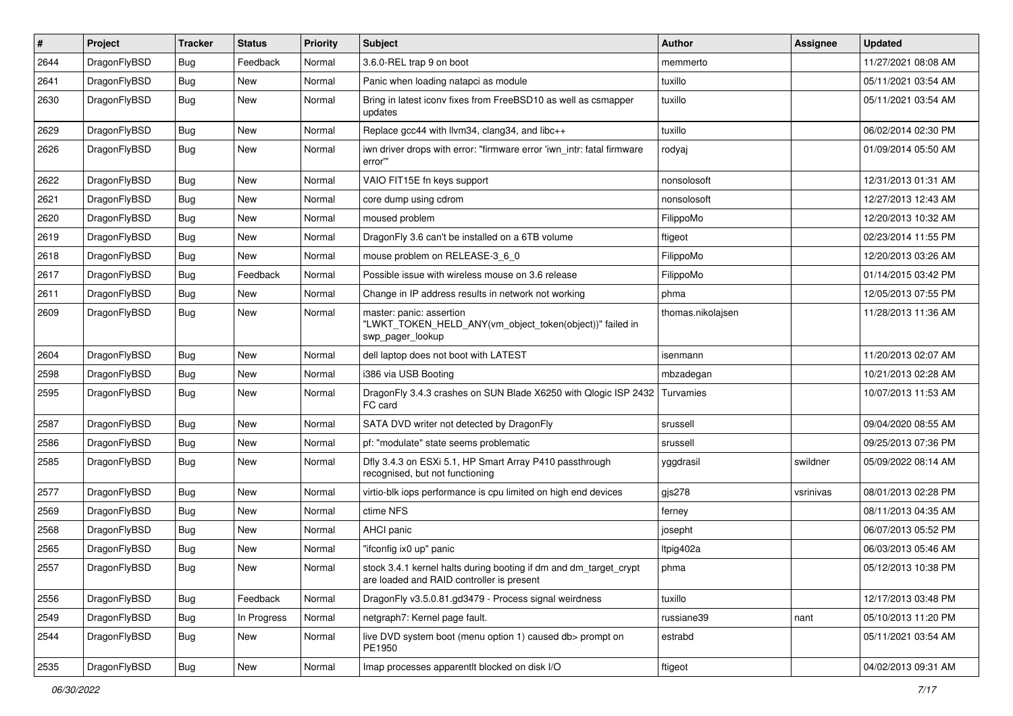| $\pmb{\#}$ | Project      | <b>Tracker</b> | <b>Status</b> | <b>Priority</b> | Subject                                                                                                        | <b>Author</b>     | Assignee  | <b>Updated</b>      |
|------------|--------------|----------------|---------------|-----------------|----------------------------------------------------------------------------------------------------------------|-------------------|-----------|---------------------|
| 2644       | DragonFlyBSD | Bug            | Feedback      | Normal          | 3.6.0-REL trap 9 on boot                                                                                       | memmerto          |           | 11/27/2021 08:08 AM |
| 2641       | DragonFlyBSD | Bug            | <b>New</b>    | Normal          | Panic when loading natapci as module                                                                           | tuxillo           |           | 05/11/2021 03:54 AM |
| 2630       | DragonFlyBSD | Bug            | <b>New</b>    | Normal          | Bring in latest iconv fixes from FreeBSD10 as well as csmapper<br>updates                                      | tuxillo           |           | 05/11/2021 03:54 AM |
| 2629       | DragonFlyBSD | Bug            | New           | Normal          | Replace gcc44 with llvm34, clang34, and libc++                                                                 | tuxillo           |           | 06/02/2014 02:30 PM |
| 2626       | DragonFlyBSD | Bug            | New           | Normal          | iwn driver drops with error: "firmware error 'iwn intr: fatal firmware<br>error""                              | rodyaj            |           | 01/09/2014 05:50 AM |
| 2622       | DragonFlyBSD | Bug            | <b>New</b>    | Normal          | VAIO FIT15E fn keys support                                                                                    | nonsolosoft       |           | 12/31/2013 01:31 AM |
| 2621       | DragonFlyBSD | Bug            | <b>New</b>    | Normal          | core dump using cdrom                                                                                          | nonsolosoft       |           | 12/27/2013 12:43 AM |
| 2620       | DragonFlyBSD | Bug            | <b>New</b>    | Normal          | moused problem                                                                                                 | FilippoMo         |           | 12/20/2013 10:32 AM |
| 2619       | DragonFlyBSD | Bug            | <b>New</b>    | Normal          | DragonFly 3.6 can't be installed on a 6TB volume                                                               | ftigeot           |           | 02/23/2014 11:55 PM |
| 2618       | DragonFlyBSD | Bug            | <b>New</b>    | Normal          | mouse problem on RELEASE-3_6_0                                                                                 | FilippoMo         |           | 12/20/2013 03:26 AM |
| 2617       | DragonFlyBSD | Bug            | Feedback      | Normal          | Possible issue with wireless mouse on 3.6 release                                                              | FilippoMo         |           | 01/14/2015 03:42 PM |
| 2611       | DragonFlyBSD | Bug            | <b>New</b>    | Normal          | Change in IP address results in network not working                                                            | phma              |           | 12/05/2013 07:55 PM |
| 2609       | DragonFlyBSD | <b>Bug</b>     | <b>New</b>    | Normal          | master: panic: assertion<br>"LWKT_TOKEN_HELD_ANY(vm_object_token(object))" failed in<br>swp pager lookup       | thomas.nikolajsen |           | 11/28/2013 11:36 AM |
| 2604       | DragonFlyBSD | Bug            | <b>New</b>    | Normal          | dell laptop does not boot with LATEST                                                                          | isenmann          |           | 11/20/2013 02:07 AM |
| 2598       | DragonFlyBSD | Bug            | <b>New</b>    | Normal          | i386 via USB Booting                                                                                           | mbzadegan         |           | 10/21/2013 02:28 AM |
| 2595       | DragonFlyBSD | Bug            | New           | Normal          | DragonFly 3.4.3 crashes on SUN Blade X6250 with Qlogic ISP 2432 Turvamies<br>FC card                           |                   |           | 10/07/2013 11:53 AM |
| 2587       | DragonFlyBSD | Bug            | <b>New</b>    | Normal          | SATA DVD writer not detected by DragonFly                                                                      | srussell          |           | 09/04/2020 08:55 AM |
| 2586       | DragonFlyBSD | Bug            | <b>New</b>    | Normal          | pf: "modulate" state seems problematic                                                                         | srussell          |           | 09/25/2013 07:36 PM |
| 2585       | DragonFlyBSD | Bug            | <b>New</b>    | Normal          | Dfly 3.4.3 on ESXi 5.1, HP Smart Array P410 passthrough<br>recognised, but not functioning                     | yggdrasil         | swildner  | 05/09/2022 08:14 AM |
| 2577       | DragonFlyBSD | Bug            | <b>New</b>    | Normal          | virtio-blk iops performance is cpu limited on high end devices                                                 | gjs278            | vsrinivas | 08/01/2013 02:28 PM |
| 2569       | DragonFlyBSD | Bug            | <b>New</b>    | Normal          | ctime NFS                                                                                                      | ferney            |           | 08/11/2013 04:35 AM |
| 2568       | DragonFlyBSD | Bug            | New           | Normal          | AHCI panic                                                                                                     | josepht           |           | 06/07/2013 05:52 PM |
| 2565       | DragonFlyBSD | Bug            | <b>New</b>    | Normal          | "ifconfig ix0 up" panic                                                                                        | Itpig402a         |           | 06/03/2013 05:46 AM |
| 2557       | DragonFlyBSD | Bug            | <b>New</b>    | Normal          | stock 3.4.1 kernel halts during booting if dm and dm target crypt<br>are loaded and RAID controller is present | phma              |           | 05/12/2013 10:38 PM |
| 2556       | DragonFlyBSD | <b>Bug</b>     | Feedback      | Normal          | DragonFly v3.5.0.81.gd3479 - Process signal weirdness                                                          | tuxillo           |           | 12/17/2013 03:48 PM |
| 2549       | DragonFlyBSD | <b>Bug</b>     | In Progress   | Normal          | netgraph7: Kernel page fault.                                                                                  | russiane39        | nant      | 05/10/2013 11:20 PM |
| 2544       | DragonFlyBSD | <b>Bug</b>     | New           | Normal          | live DVD system boot (menu option 1) caused db> prompt on<br>PE1950                                            | estrabd           |           | 05/11/2021 03:54 AM |
| 2535       | DragonFlyBSD | <b>Bug</b>     | New           | Normal          | Imap processes apparentlt blocked on disk I/O                                                                  | ftigeot           |           | 04/02/2013 09:31 AM |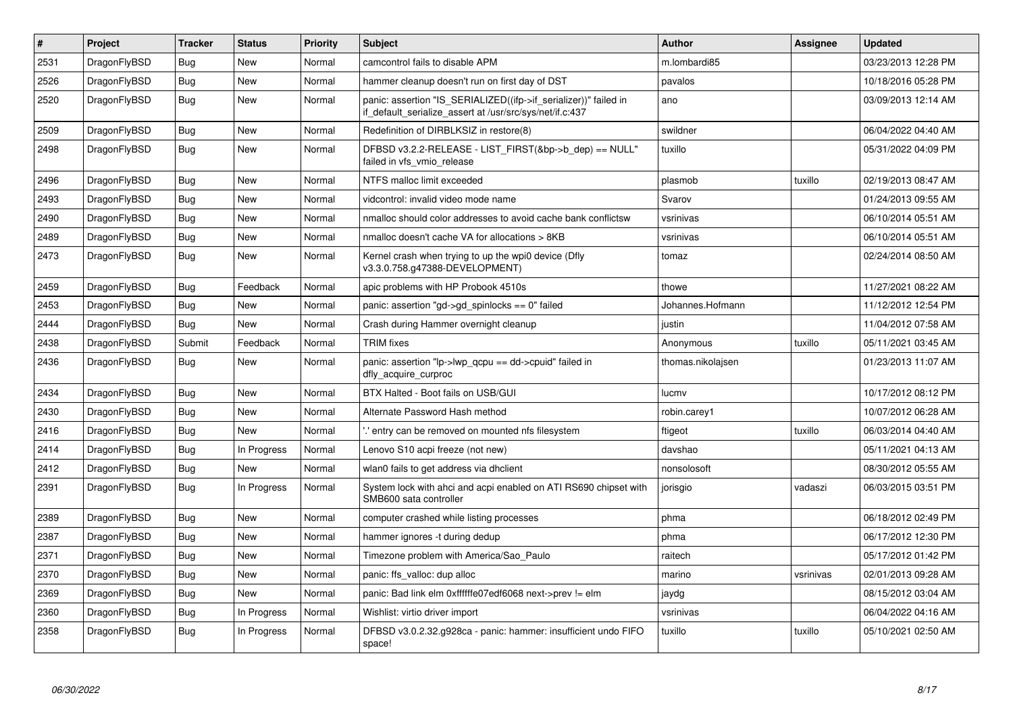| $\vert$ # | Project      | <b>Tracker</b> | <b>Status</b> | <b>Priority</b> | <b>Subject</b>                                                                                                               | <b>Author</b>     | Assignee  | <b>Updated</b>      |
|-----------|--------------|----------------|---------------|-----------------|------------------------------------------------------------------------------------------------------------------------------|-------------------|-----------|---------------------|
| 2531      | DragonFlyBSD | <b>Bug</b>     | New           | Normal          | camcontrol fails to disable APM                                                                                              | m.lombardi85      |           | 03/23/2013 12:28 PM |
| 2526      | DragonFlyBSD | Bug            | New           | Normal          | hammer cleanup doesn't run on first day of DST                                                                               | pavalos           |           | 10/18/2016 05:28 PM |
| 2520      | DragonFlyBSD | <b>Bug</b>     | New           | Normal          | panic: assertion "IS SERIALIZED((ifp->if serializer))" failed in<br>if default serialize assert at /usr/src/sys/net/if.c:437 | ano               |           | 03/09/2013 12:14 AM |
| 2509      | DragonFlyBSD | <b>Bug</b>     | New           | Normal          | Redefinition of DIRBLKSIZ in restore(8)                                                                                      | swildner          |           | 06/04/2022 04:40 AM |
| 2498      | DragonFlyBSD | <b>Bug</b>     | New           | Normal          | DFBSD v3.2.2-RELEASE - LIST_FIRST(&bp->b_dep) == NULL"<br>failed in vfs vmio release                                         | tuxillo           |           | 05/31/2022 04:09 PM |
| 2496      | DragonFlyBSD | <b>Bug</b>     | <b>New</b>    | Normal          | NTFS malloc limit exceeded                                                                                                   | plasmob           | tuxillo   | 02/19/2013 08:47 AM |
| 2493      | DragonFlyBSD | <b>Bug</b>     | New           | Normal          | vidcontrol: invalid video mode name                                                                                          | Svarov            |           | 01/24/2013 09:55 AM |
| 2490      | DragonFlyBSD | <b>Bug</b>     | <b>New</b>    | Normal          | nmalloc should color addresses to avoid cache bank conflictsw                                                                | vsrinivas         |           | 06/10/2014 05:51 AM |
| 2489      | DragonFlyBSD | <b>Bug</b>     | <b>New</b>    | Normal          | nmalloc doesn't cache VA for allocations > 8KB                                                                               | vsrinivas         |           | 06/10/2014 05:51 AM |
| 2473      | DragonFlyBSD | <b>Bug</b>     | <b>New</b>    | Normal          | Kernel crash when trying to up the wpi0 device (Dfly<br>v3.3.0.758.g47388-DEVELOPMENT)                                       | tomaz             |           | 02/24/2014 08:50 AM |
| 2459      | DragonFlyBSD | <b>Bug</b>     | Feedback      | Normal          | apic problems with HP Probook 4510s                                                                                          | thowe             |           | 11/27/2021 08:22 AM |
| 2453      | DragonFlyBSD | <b>Bug</b>     | <b>New</b>    | Normal          | panic: assertion "gd->gd spinlocks == $0$ " failed                                                                           | Johannes.Hofmann  |           | 11/12/2012 12:54 PM |
| 2444      | DragonFlyBSD | Bug            | <b>New</b>    | Normal          | Crash during Hammer overnight cleanup                                                                                        | justin            |           | 11/04/2012 07:58 AM |
| 2438      | DragonFlyBSD | Submit         | Feedback      | Normal          | <b>TRIM</b> fixes                                                                                                            | Anonymous         | tuxillo   | 05/11/2021 03:45 AM |
| 2436      | DragonFlyBSD | <b>Bug</b>     | <b>New</b>    | Normal          | panic: assertion " $lp$ -> $lwp$ qcpu == dd->cpuid" failed in<br>dfly_acquire_curproc                                        | thomas.nikolajsen |           | 01/23/2013 11:07 AM |
| 2434      | DragonFlyBSD | <b>Bug</b>     | New           | Normal          | BTX Halted - Boot fails on USB/GUI                                                                                           | lucmv             |           | 10/17/2012 08:12 PM |
| 2430      | DragonFlyBSD | <b>Bug</b>     | <b>New</b>    | Normal          | Alternate Password Hash method                                                                                               | robin.carey1      |           | 10/07/2012 06:28 AM |
| 2416      | DragonFlyBSD | Bug            | New           | Normal          | ".' entry can be removed on mounted nfs filesystem                                                                           | ftigeot           | tuxillo   | 06/03/2014 04:40 AM |
| 2414      | DragonFlyBSD | Bug            | In Progress   | Normal          | Lenovo S10 acpi freeze (not new)                                                                                             | davshao           |           | 05/11/2021 04:13 AM |
| 2412      | DragonFlyBSD | <b>Bug</b>     | <b>New</b>    | Normal          | wlan0 fails to get address via dhclient                                                                                      | nonsolosoft       |           | 08/30/2012 05:55 AM |
| 2391      | DragonFlyBSD | <b>Bug</b>     | In Progress   | Normal          | System lock with ahci and acpi enabled on ATI RS690 chipset with<br>SMB600 sata controller                                   | jorisgio          | vadaszi   | 06/03/2015 03:51 PM |
| 2389      | DragonFlyBSD | <b>Bug</b>     | New           | Normal          | computer crashed while listing processes                                                                                     | phma              |           | 06/18/2012 02:49 PM |
| 2387      | DragonFlyBSD | <b>Bug</b>     | New           | Normal          | hammer ignores -t during dedup                                                                                               | phma              |           | 06/17/2012 12:30 PM |
| 2371      | DragonFlyBSD | <b>Bug</b>     | New           | Normal          | Timezone problem with America/Sao Paulo                                                                                      | raitech           |           | 05/17/2012 01:42 PM |
| 2370      | DragonFlyBSD | <b>Bug</b>     | New           | Normal          | panic: ffs_valloc: dup alloc                                                                                                 | marino            | vsrinivas | 02/01/2013 09:28 AM |
| 2369      | DragonFlyBSD | <b>Bug</b>     | New           | Normal          | panic: Bad link elm 0xffffffe07edf6068 next->prev != elm                                                                     | jaydg             |           | 08/15/2012 03:04 AM |
| 2360      | DragonFlyBSD | <b>Bug</b>     | In Progress   | Normal          | Wishlist: virtio driver import                                                                                               | vsrinivas         |           | 06/04/2022 04:16 AM |
| 2358      | DragonFlyBSD | Bug            | In Progress   | Normal          | DFBSD v3.0.2.32.g928ca - panic: hammer: insufficient undo FIFO<br>space!                                                     | tuxillo           | tuxillo   | 05/10/2021 02:50 AM |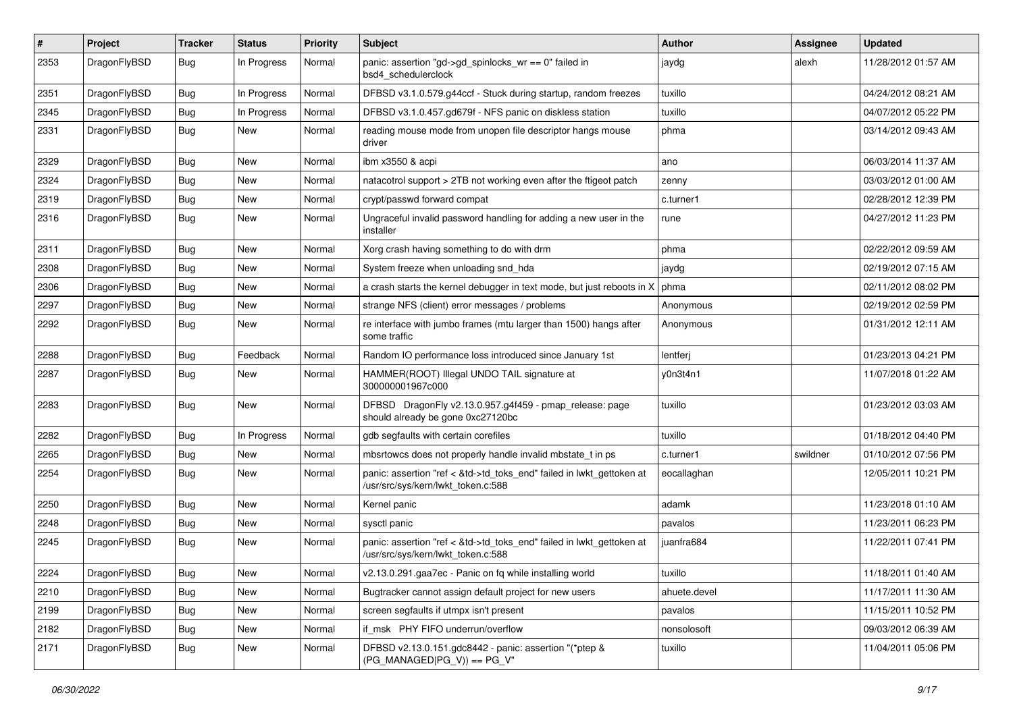| #    | Project      | <b>Tracker</b> | <b>Status</b> | <b>Priority</b> | Subject                                                                                                    | <b>Author</b> | Assignee | <b>Updated</b>      |
|------|--------------|----------------|---------------|-----------------|------------------------------------------------------------------------------------------------------------|---------------|----------|---------------------|
| 2353 | DragonFlyBSD | <b>Bug</b>     | In Progress   | Normal          | panic: assertion "gd->gd_spinlocks_wr == 0" failed in<br>bsd4_schedulerclock                               | jaydg         | alexh    | 11/28/2012 01:57 AM |
| 2351 | DragonFlyBSD | <b>Bug</b>     | In Progress   | Normal          | DFBSD v3.1.0.579.g44ccf - Stuck during startup, random freezes                                             | tuxillo       |          | 04/24/2012 08:21 AM |
| 2345 | DragonFlyBSD | <b>Bug</b>     | In Progress   | Normal          | DFBSD v3.1.0.457.gd679f - NFS panic on diskless station                                                    | tuxillo       |          | 04/07/2012 05:22 PM |
| 2331 | DragonFlyBSD | Bug            | New           | Normal          | reading mouse mode from unopen file descriptor hangs mouse<br>driver                                       | phma          |          | 03/14/2012 09:43 AM |
| 2329 | DragonFlyBSD | <b>Bug</b>     | <b>New</b>    | Normal          | ibm x3550 & acpi                                                                                           | ano           |          | 06/03/2014 11:37 AM |
| 2324 | DragonFlyBSD | <b>Bug</b>     | New           | Normal          | natacotrol support > 2TB not working even after the ftigeot patch                                          | zenny         |          | 03/03/2012 01:00 AM |
| 2319 | DragonFlyBSD | <b>Bug</b>     | New           | Normal          | crypt/passwd forward compat                                                                                | c.turner1     |          | 02/28/2012 12:39 PM |
| 2316 | DragonFlyBSD | Bug            | New           | Normal          | Ungraceful invalid password handling for adding a new user in the<br>installer                             | rune          |          | 04/27/2012 11:23 PM |
| 2311 | DragonFlyBSD | <b>Bug</b>     | New           | Normal          | Xorg crash having something to do with drm                                                                 | phma          |          | 02/22/2012 09:59 AM |
| 2308 | DragonFlyBSD | <b>Bug</b>     | <b>New</b>    | Normal          | System freeze when unloading snd_hda                                                                       | jaydg         |          | 02/19/2012 07:15 AM |
| 2306 | DragonFlyBSD | <b>Bug</b>     | <b>New</b>    | Normal          | a crash starts the kernel debugger in text mode, but just reboots in X                                     | phma          |          | 02/11/2012 08:02 PM |
| 2297 | DragonFlyBSD | <b>Bug</b>     | New           | Normal          | strange NFS (client) error messages / problems                                                             | Anonymous     |          | 02/19/2012 02:59 PM |
| 2292 | DragonFlyBSD | <b>Bug</b>     | <b>New</b>    | Normal          | re interface with jumbo frames (mtu larger than 1500) hangs after<br>some traffic                          | Anonymous     |          | 01/31/2012 12:11 AM |
| 2288 | DragonFlyBSD | Bug            | Feedback      | Normal          | Random IO performance loss introduced since January 1st                                                    | lentferj      |          | 01/23/2013 04:21 PM |
| 2287 | DragonFlyBSD | <b>Bug</b>     | New           | Normal          | HAMMER(ROOT) Illegal UNDO TAIL signature at<br>300000001967c000                                            | y0n3t4n1      |          | 11/07/2018 01:22 AM |
| 2283 | DragonFlyBSD | Bug            | New           | Normal          | DFBSD DragonFly v2.13.0.957.g4f459 - pmap_release: page<br>should already be gone 0xc27120bc               | tuxillo       |          | 01/23/2012 03:03 AM |
| 2282 | DragonFlyBSD | <b>Bug</b>     | In Progress   | Normal          | gdb segfaults with certain corefiles                                                                       | tuxillo       |          | 01/18/2012 04:40 PM |
| 2265 | DragonFlyBSD | Bug            | New           | Normal          | mbsrtowcs does not properly handle invalid mbstate_t in ps                                                 | c.turner1     | swildner | 01/10/2012 07:56 PM |
| 2254 | DragonFlyBSD | Bug            | New           | Normal          | panic: assertion "ref < &td->td_toks_end" failed in lwkt_gettoken at<br>/usr/src/sys/kern/lwkt_token.c:588 | eocallaghan   |          | 12/05/2011 10:21 PM |
| 2250 | DragonFlyBSD | <b>Bug</b>     | New           | Normal          | Kernel panic                                                                                               | adamk         |          | 11/23/2018 01:10 AM |
| 2248 | DragonFlyBSD | Bug            | New           | Normal          | sysctl panic                                                                                               | pavalos       |          | 11/23/2011 06:23 PM |
| 2245 | DragonFlyBSD | Bug            | New           | Normal          | panic: assertion "ref < &td->td_toks_end" failed in lwkt_gettoken at<br>/usr/src/sys/kern/lwkt token.c:588 | juanfra684    |          | 11/22/2011 07:41 PM |
| 2224 | DragonFlyBSD | <b>Bug</b>     | New           | Normal          | v2.13.0.291.gaa7ec - Panic on fq while installing world                                                    | tuxillo       |          | 11/18/2011 01:40 AM |
| 2210 | DragonFlyBSD | Bug            | New           | Normal          | Bugtracker cannot assign default project for new users                                                     | ahuete.devel  |          | 11/17/2011 11:30 AM |
| 2199 | DragonFlyBSD | <b>Bug</b>     | New           | Normal          | screen segfaults if utmpx isn't present                                                                    | pavalos       |          | 11/15/2011 10:52 PM |
| 2182 | DragonFlyBSD | Bug            | <b>New</b>    | Normal          | if msk PHY FIFO underrun/overflow                                                                          | nonsolosoft   |          | 09/03/2012 06:39 AM |
| 2171 | DragonFlyBSD | <b>Bug</b>     | New           | Normal          | DFBSD v2.13.0.151.gdc8442 - panic: assertion "(*ptep &<br>$(PG_MANAGED PG_V)$ == PG_V"                     | tuxillo       |          | 11/04/2011 05:06 PM |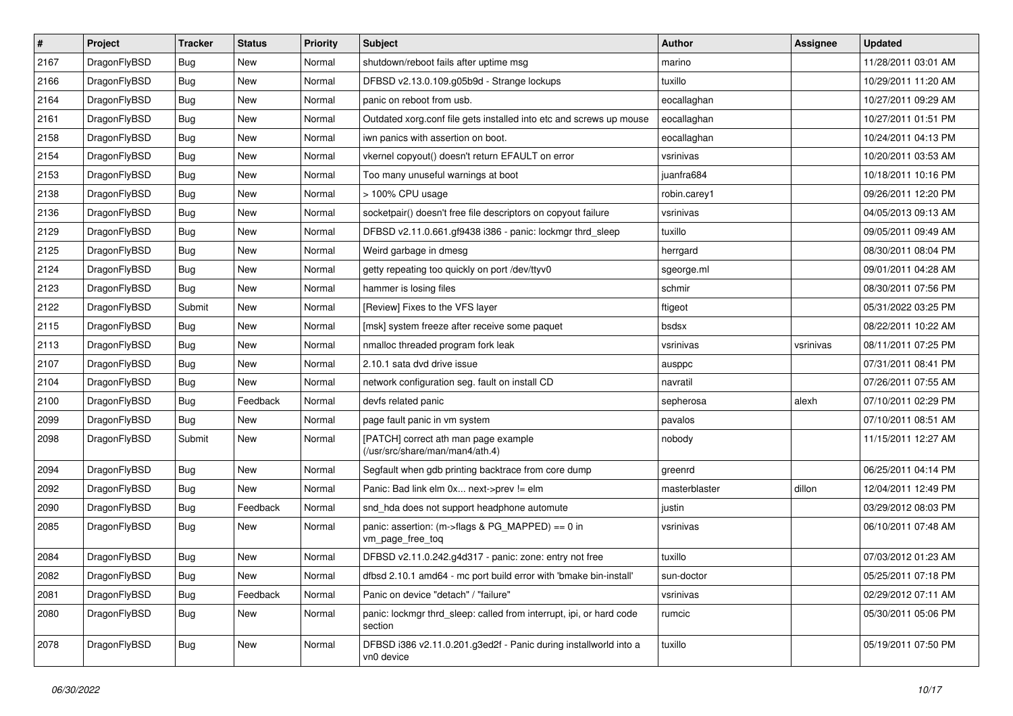| $\vert$ # | Project      | <b>Tracker</b> | <b>Status</b> | <b>Priority</b> | Subject                                                                        | <b>Author</b> | Assignee  | <b>Updated</b>      |
|-----------|--------------|----------------|---------------|-----------------|--------------------------------------------------------------------------------|---------------|-----------|---------------------|
| 2167      | DragonFlyBSD | Bug            | New           | Normal          | shutdown/reboot fails after uptime msg                                         | marino        |           | 11/28/2011 03:01 AM |
| 2166      | DragonFlyBSD | Bug            | New           | Normal          | DFBSD v2.13.0.109.g05b9d - Strange lockups                                     | tuxillo       |           | 10/29/2011 11:20 AM |
| 2164      | DragonFlyBSD | <b>Bug</b>     | New           | Normal          | panic on reboot from usb.                                                      | eocallaghan   |           | 10/27/2011 09:29 AM |
| 2161      | DragonFlyBSD | Bug            | <b>New</b>    | Normal          | Outdated xorg.conf file gets installed into etc and screws up mouse            | eocallaghan   |           | 10/27/2011 01:51 PM |
| 2158      | DragonFlyBSD | Bug            | <b>New</b>    | Normal          | iwn panics with assertion on boot.                                             | eocallaghan   |           | 10/24/2011 04:13 PM |
| 2154      | DragonFlyBSD | <b>Bug</b>     | <b>New</b>    | Normal          | vkernel copyout() doesn't return EFAULT on error                               | vsrinivas     |           | 10/20/2011 03:53 AM |
| 2153      | DragonFlyBSD | Bug            | New           | Normal          | Too many unuseful warnings at boot                                             | juanfra684    |           | 10/18/2011 10:16 PM |
| 2138      | DragonFlyBSD | <b>Bug</b>     | <b>New</b>    | Normal          | > 100% CPU usage                                                               | robin.carey1  |           | 09/26/2011 12:20 PM |
| 2136      | DragonFlyBSD | <b>Bug</b>     | <b>New</b>    | Normal          | socketpair() doesn't free file descriptors on copyout failure                  | vsrinivas     |           | 04/05/2013 09:13 AM |
| 2129      | DragonFlyBSD | Bug            | New           | Normal          | DFBSD v2.11.0.661.gf9438 i386 - panic: lockmgr thrd_sleep                      | tuxillo       |           | 09/05/2011 09:49 AM |
| 2125      | DragonFlyBSD | Bug            | New           | Normal          | Weird garbage in dmesg                                                         | herrgard      |           | 08/30/2011 08:04 PM |
| 2124      | DragonFlyBSD | Bug            | <b>New</b>    | Normal          | getty repeating too quickly on port /dev/ttyv0                                 | sgeorge.ml    |           | 09/01/2011 04:28 AM |
| 2123      | DragonFlyBSD | Bug            | <b>New</b>    | Normal          | hammer is losing files                                                         | schmir        |           | 08/30/2011 07:56 PM |
| 2122      | DragonFlyBSD | Submit         | New           | Normal          | [Review] Fixes to the VFS layer                                                | ftigeot       |           | 05/31/2022 03:25 PM |
| 2115      | DragonFlyBSD | <b>Bug</b>     | New           | Normal          | [msk] system freeze after receive some paquet                                  | bsdsx         |           | 08/22/2011 10:22 AM |
| 2113      | DragonFlyBSD | <b>Bug</b>     | New           | Normal          | nmalloc threaded program fork leak                                             | vsrinivas     | vsrinivas | 08/11/2011 07:25 PM |
| 2107      | DragonFlyBSD | Bug            | <b>New</b>    | Normal          | 2.10.1 sata dvd drive issue                                                    | ausppc        |           | 07/31/2011 08:41 PM |
| 2104      | DragonFlyBSD | <b>Bug</b>     | <b>New</b>    | Normal          | network configuration seg. fault on install CD                                 | navratil      |           | 07/26/2011 07:55 AM |
| 2100      | DragonFlyBSD | Bug            | Feedback      | Normal          | devfs related panic                                                            | sepherosa     | alexh     | 07/10/2011 02:29 PM |
| 2099      | DragonFlyBSD | Bug            | New           | Normal          | page fault panic in vm system                                                  | pavalos       |           | 07/10/2011 08:51 AM |
| 2098      | DragonFlyBSD | Submit         | <b>New</b>    | Normal          | [PATCH] correct ath man page example<br>(/usr/src/share/man/man4/ath.4)        | nobody        |           | 11/15/2011 12:27 AM |
| 2094      | DragonFlyBSD | Bug            | <b>New</b>    | Normal          | Segfault when gdb printing backtrace from core dump                            | greenrd       |           | 06/25/2011 04:14 PM |
| 2092      | DragonFlyBSD | <b>Bug</b>     | New           | Normal          | Panic: Bad link elm 0x next->prev != elm                                       | masterblaster | dillon    | 12/04/2011 12:49 PM |
| 2090      | DragonFlyBSD | Bug            | Feedback      | Normal          | snd_hda does not support headphone automute                                    | justin        |           | 03/29/2012 08:03 PM |
| 2085      | DragonFlyBSD | Bug            | New           | Normal          | panic: assertion: (m->flags & PG_MAPPED) == 0 in<br>vm_page_free_toq           | vsrinivas     |           | 06/10/2011 07:48 AM |
| 2084      | DragonFlyBSD | <b>Bug</b>     | <b>New</b>    | Normal          | DFBSD v2.11.0.242.g4d317 - panic: zone: entry not free                         | tuxillo       |           | 07/03/2012 01:23 AM |
| 2082      | DragonFlyBSD | <b>Bug</b>     | New           | Normal          | dfbsd 2.10.1 amd64 - mc port build error with 'bmake bin-install'              | sun-doctor    |           | 05/25/2011 07:18 PM |
| 2081      | DragonFlyBSD | <b>Bug</b>     | Feedback      | Normal          | Panic on device "detach" / "failure"                                           | vsrinivas     |           | 02/29/2012 07:11 AM |
| 2080      | DragonFlyBSD | <b>Bug</b>     | New           | Normal          | panic: lockmgr thrd_sleep: called from interrupt, ipi, or hard code<br>section | rumcic        |           | 05/30/2011 05:06 PM |
| 2078      | DragonFlyBSD | <b>Bug</b>     | New           | Normal          | DFBSD i386 v2.11.0.201.g3ed2f - Panic during installworld into a<br>vn0 device | tuxillo       |           | 05/19/2011 07:50 PM |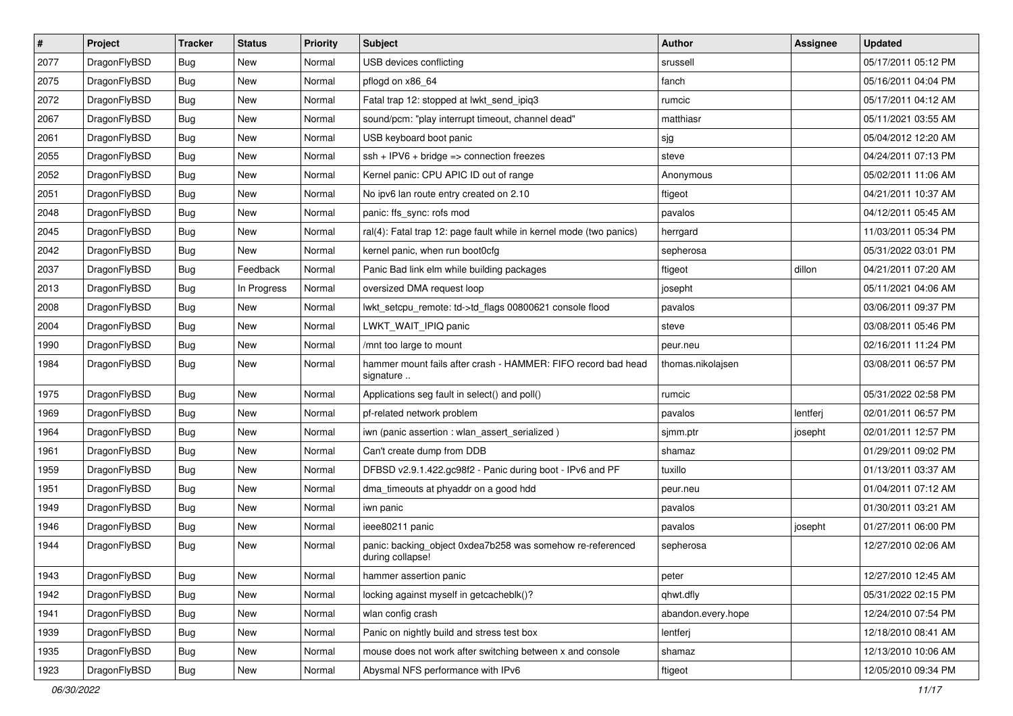| $\sharp$ | Project      | <b>Tracker</b> | <b>Status</b> | <b>Priority</b> | <b>Subject</b>                                                                 | Author             | <b>Assignee</b> | <b>Updated</b>      |
|----------|--------------|----------------|---------------|-----------------|--------------------------------------------------------------------------------|--------------------|-----------------|---------------------|
| 2077     | DragonFlyBSD | Bug            | New           | Normal          | USB devices conflicting                                                        | srussell           |                 | 05/17/2011 05:12 PM |
| 2075     | DragonFlyBSD | Bug            | <b>New</b>    | Normal          | pflogd on x86_64                                                               | fanch              |                 | 05/16/2011 04:04 PM |
| 2072     | DragonFlyBSD | Bug            | <b>New</b>    | Normal          | Fatal trap 12: stopped at lwkt_send_ipiq3                                      | rumcic             |                 | 05/17/2011 04:12 AM |
| 2067     | DragonFlyBSD | <b>Bug</b>     | New           | Normal          | sound/pcm: "play interrupt timeout, channel dead"                              | matthiasr          |                 | 05/11/2021 03:55 AM |
| 2061     | DragonFlyBSD | Bug            | <b>New</b>    | Normal          | USB keyboard boot panic                                                        | sjg                |                 | 05/04/2012 12:20 AM |
| 2055     | DragonFlyBSD | <b>Bug</b>     | New           | Normal          | $ssh + IPV6 + bridge \Rightarrow connection freezes$                           | steve              |                 | 04/24/2011 07:13 PM |
| 2052     | DragonFlyBSD | Bug            | New           | Normal          | Kernel panic: CPU APIC ID out of range                                         | Anonymous          |                 | 05/02/2011 11:06 AM |
| 2051     | DragonFlyBSD | <b>Bug</b>     | <b>New</b>    | Normal          | No ipv6 lan route entry created on 2.10                                        | ftigeot            |                 | 04/21/2011 10:37 AM |
| 2048     | DragonFlyBSD | <b>Bug</b>     | New           | Normal          | panic: ffs_sync: rofs mod                                                      | pavalos            |                 | 04/12/2011 05:45 AM |
| 2045     | DragonFlyBSD | Bug            | <b>New</b>    | Normal          | ral(4): Fatal trap 12: page fault while in kernel mode (two panics)            | herrgard           |                 | 11/03/2011 05:34 PM |
| 2042     | DragonFlyBSD | Bug            | New           | Normal          | kernel panic, when run boot0cfg                                                | sepherosa          |                 | 05/31/2022 03:01 PM |
| 2037     | DragonFlyBSD | <b>Bug</b>     | Feedback      | Normal          | Panic Bad link elm while building packages                                     | ftigeot            | dillon          | 04/21/2011 07:20 AM |
| 2013     | DragonFlyBSD | <b>Bug</b>     | In Progress   | Normal          | oversized DMA request loop                                                     | josepht            |                 | 05/11/2021 04:06 AM |
| 2008     | DragonFlyBSD | Bug            | <b>New</b>    | Normal          | lwkt_setcpu_remote: td->td_flags 00800621 console flood                        | pavalos            |                 | 03/06/2011 09:37 PM |
| 2004     | DragonFlyBSD | <b>Bug</b>     | <b>New</b>    | Normal          | LWKT_WAIT_IPIQ panic                                                           | steve              |                 | 03/08/2011 05:46 PM |
| 1990     | DragonFlyBSD | <b>Bug</b>     | <b>New</b>    | Normal          | /mnt too large to mount                                                        | peur.neu           |                 | 02/16/2011 11:24 PM |
| 1984     | DragonFlyBSD | <b>Bug</b>     | New           | Normal          | hammer mount fails after crash - HAMMER: FIFO record bad head<br>signature     | thomas.nikolajsen  |                 | 03/08/2011 06:57 PM |
| 1975     | DragonFlyBSD | <b>Bug</b>     | New           | Normal          | Applications seg fault in select() and poll()                                  | rumcic             |                 | 05/31/2022 02:58 PM |
| 1969     | DragonFlyBSD | <b>Bug</b>     | <b>New</b>    | Normal          | pf-related network problem                                                     | pavalos            | lentferj        | 02/01/2011 06:57 PM |
| 1964     | DragonFlyBSD | <b>Bug</b>     | New           | Normal          | iwn (panic assertion : wlan assert serialized)                                 | sjmm.ptr           | josepht         | 02/01/2011 12:57 PM |
| 1961     | DragonFlyBSD | Bug            | <b>New</b>    | Normal          | Can't create dump from DDB                                                     | shamaz             |                 | 01/29/2011 09:02 PM |
| 1959     | DragonFlyBSD | <b>Bug</b>     | New           | Normal          | DFBSD v2.9.1.422.gc98f2 - Panic during boot - IPv6 and PF                      | tuxillo            |                 | 01/13/2011 03:37 AM |
| 1951     | DragonFlyBSD | <b>Bug</b>     | New           | Normal          | dma_timeouts at phyaddr on a good hdd                                          | peur.neu           |                 | 01/04/2011 07:12 AM |
| 1949     | DragonFlyBSD | <b>Bug</b>     | <b>New</b>    | Normal          | iwn panic                                                                      | pavalos            |                 | 01/30/2011 03:21 AM |
| 1946     | DragonFlyBSD | <b>Bug</b>     | New           | Normal          | ieee80211 panic                                                                | pavalos            | josepht         | 01/27/2011 06:00 PM |
| 1944     | DragonFlyBSD | <b>Bug</b>     | <b>New</b>    | Normal          | panic: backing object 0xdea7b258 was somehow re-referenced<br>during collapse! | sepherosa          |                 | 12/27/2010 02:06 AM |
| 1943     | DragonFlyBSD | <b>Bug</b>     | New           | Normal          | hammer assertion panic                                                         | peter              |                 | 12/27/2010 12:45 AM |
| 1942     | DragonFlyBSD | <b>Bug</b>     | <b>New</b>    | Normal          | locking against myself in getcacheblk()?                                       | qhwt.dfly          |                 | 05/31/2022 02:15 PM |
| 1941     | DragonFlyBSD | <b>Bug</b>     | <b>New</b>    | Normal          | wlan config crash                                                              | abandon.every.hope |                 | 12/24/2010 07:54 PM |
| 1939     | DragonFlyBSD | <b>Bug</b>     | New           | Normal          | Panic on nightly build and stress test box                                     | lentferj           |                 | 12/18/2010 08:41 AM |
| 1935     | DragonFlyBSD | <b>Bug</b>     | New           | Normal          | mouse does not work after switching between x and console                      | shamaz             |                 | 12/13/2010 10:06 AM |
| 1923     | DragonFlyBSD | <b>Bug</b>     | New           | Normal          | Abysmal NFS performance with IPv6                                              | ftigeot            |                 | 12/05/2010 09:34 PM |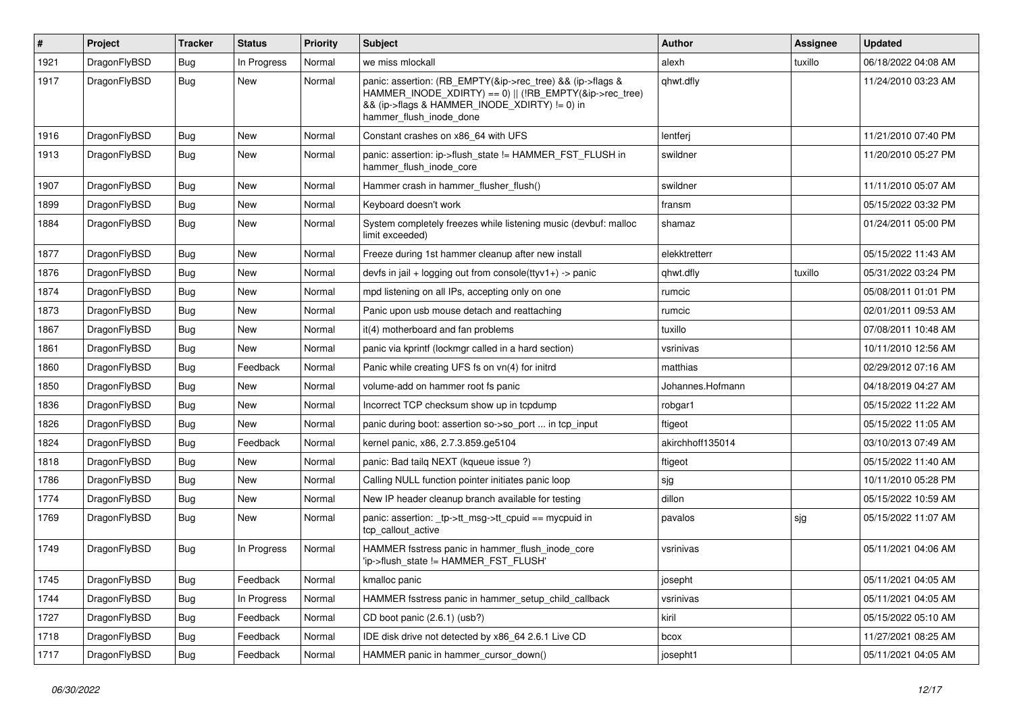| $\sharp$ | Project      | <b>Tracker</b> | <b>Status</b> | <b>Priority</b> | Subject                                                                                                                                                                                           | <b>Author</b>    | Assignee | <b>Updated</b>      |
|----------|--------------|----------------|---------------|-----------------|---------------------------------------------------------------------------------------------------------------------------------------------------------------------------------------------------|------------------|----------|---------------------|
| 1921     | DragonFlyBSD | <b>Bug</b>     | In Progress   | Normal          | we miss mlockall                                                                                                                                                                                  | alexh            | tuxillo  | 06/18/2022 04:08 AM |
| 1917     | DragonFlyBSD | Bug            | New           | Normal          | panic: assertion: (RB_EMPTY(&ip->rec_tree) && (ip->flags &<br>HAMMER_INODE_XDIRTY) == 0)    (!RB_EMPTY(&ip->rec_tree)<br>&& (ip->flags & HAMMER INODE XDIRTY) != 0) in<br>hammer_flush_inode_done | qhwt.dfly        |          | 11/24/2010 03:23 AM |
| 1916     | DragonFlyBSD | <b>Bug</b>     | <b>New</b>    | Normal          | Constant crashes on x86_64 with UFS                                                                                                                                                               | lentferj         |          | 11/21/2010 07:40 PM |
| 1913     | DragonFlyBSD | <b>Bug</b>     | New           | Normal          | panic: assertion: ip->flush state != HAMMER FST FLUSH in<br>hammer_flush_inode_core                                                                                                               | swildner         |          | 11/20/2010 05:27 PM |
| 1907     | DragonFlyBSD | Bug            | New           | Normal          | Hammer crash in hammer flusher flush()                                                                                                                                                            | swildner         |          | 11/11/2010 05:07 AM |
| 1899     | DragonFlyBSD | <b>Bug</b>     | New           | Normal          | Keyboard doesn't work                                                                                                                                                                             | fransm           |          | 05/15/2022 03:32 PM |
| 1884     | DragonFlyBSD | <b>Bug</b>     | <b>New</b>    | Normal          | System completely freezes while listening music (devbuf: malloc<br>limit exceeded)                                                                                                                | shamaz           |          | 01/24/2011 05:00 PM |
| 1877     | DragonFlyBSD | Bug            | <b>New</b>    | Normal          | Freeze during 1st hammer cleanup after new install                                                                                                                                                | elekktretterr    |          | 05/15/2022 11:43 AM |
| 1876     | DragonFlyBSD | <b>Bug</b>     | New           | Normal          | devfs in jail + logging out from console(ttyv1+) -> panic                                                                                                                                         | qhwt.dfly        | tuxillo  | 05/31/2022 03:24 PM |
| 1874     | DragonFlyBSD | <b>Bug</b>     | New           | Normal          | mpd listening on all IPs, accepting only on one                                                                                                                                                   | rumcic           |          | 05/08/2011 01:01 PM |
| 1873     | DragonFlyBSD | <b>Bug</b>     | <b>New</b>    | Normal          | Panic upon usb mouse detach and reattaching                                                                                                                                                       | rumcic           |          | 02/01/2011 09:53 AM |
| 1867     | DragonFlyBSD | <b>Bug</b>     | New           | Normal          | it(4) motherboard and fan problems                                                                                                                                                                | tuxillo          |          | 07/08/2011 10:48 AM |
| 1861     | DragonFlyBSD | <b>Bug</b>     | <b>New</b>    | Normal          | panic via kprintf (lockmgr called in a hard section)                                                                                                                                              | vsrinivas        |          | 10/11/2010 12:56 AM |
| 1860     | DragonFlyBSD | <b>Bug</b>     | Feedback      | Normal          | Panic while creating UFS fs on vn(4) for initrd                                                                                                                                                   | matthias         |          | 02/29/2012 07:16 AM |
| 1850     | DragonFlyBSD | <b>Bug</b>     | <b>New</b>    | Normal          | volume-add on hammer root fs panic                                                                                                                                                                | Johannes.Hofmann |          | 04/18/2019 04:27 AM |
| 1836     | DragonFlyBSD | <b>Bug</b>     | New           | Normal          | Incorrect TCP checksum show up in tcpdump                                                                                                                                                         | robgar1          |          | 05/15/2022 11:22 AM |
| 1826     | DragonFlyBSD | <b>Bug</b>     | New           | Normal          | panic during boot: assertion so->so port  in tcp input                                                                                                                                            | ftigeot          |          | 05/15/2022 11:05 AM |
| 1824     | DragonFlyBSD | <b>Bug</b>     | Feedback      | Normal          | kernel panic, x86, 2.7.3.859.ge5104                                                                                                                                                               | akirchhoff135014 |          | 03/10/2013 07:49 AM |
| 1818     | DragonFlyBSD | Bug            | New           | Normal          | panic: Bad tailq NEXT (kqueue issue ?)                                                                                                                                                            | ftigeot          |          | 05/15/2022 11:40 AM |
| 1786     | DragonFlyBSD | <b>Bug</b>     | New           | Normal          | Calling NULL function pointer initiates panic loop                                                                                                                                                | sjg              |          | 10/11/2010 05:28 PM |
| 1774     | DragonFlyBSD | Bug            | New           | Normal          | New IP header cleanup branch available for testing                                                                                                                                                | dillon           |          | 05/15/2022 10:59 AM |
| 1769     | DragonFlyBSD | <b>Bug</b>     | New           | Normal          | panic: assertion: _tp->tt_msg->tt_cpuid == mycpuid in<br>tcp_callout_active                                                                                                                       | pavalos          | sjg      | 05/15/2022 11:07 AM |
| 1749     | DragonFlyBSD | <b>Bug</b>     | In Progress   | Normal          | HAMMER fsstress panic in hammer_flush_inode_core<br>'ip->flush_state != HAMMER_FST_FLUSH'                                                                                                         | vsrinivas        |          | 05/11/2021 04:06 AM |
| 1745     | DragonFlyBSD | <b>Bug</b>     | Feedback      | Normal          | kmalloc panic                                                                                                                                                                                     | josepht          |          | 05/11/2021 04:05 AM |
| 1744     | DragonFlyBSD | <b>Bug</b>     | In Progress   | Normal          | HAMMER fsstress panic in hammer_setup_child_callback                                                                                                                                              | vsrinivas        |          | 05/11/2021 04:05 AM |
| 1727     | DragonFlyBSD | <b>Bug</b>     | Feedback      | Normal          | CD boot panic (2.6.1) (usb?)                                                                                                                                                                      | kiril            |          | 05/15/2022 05:10 AM |
| 1718     | DragonFlyBSD | <b>Bug</b>     | Feedback      | Normal          | IDE disk drive not detected by x86_64 2.6.1 Live CD                                                                                                                                               | bcox             |          | 11/27/2021 08:25 AM |
| 1717     | DragonFlyBSD | <b>Bug</b>     | Feedback      | Normal          | HAMMER panic in hammer_cursor_down()                                                                                                                                                              | josepht1         |          | 05/11/2021 04:05 AM |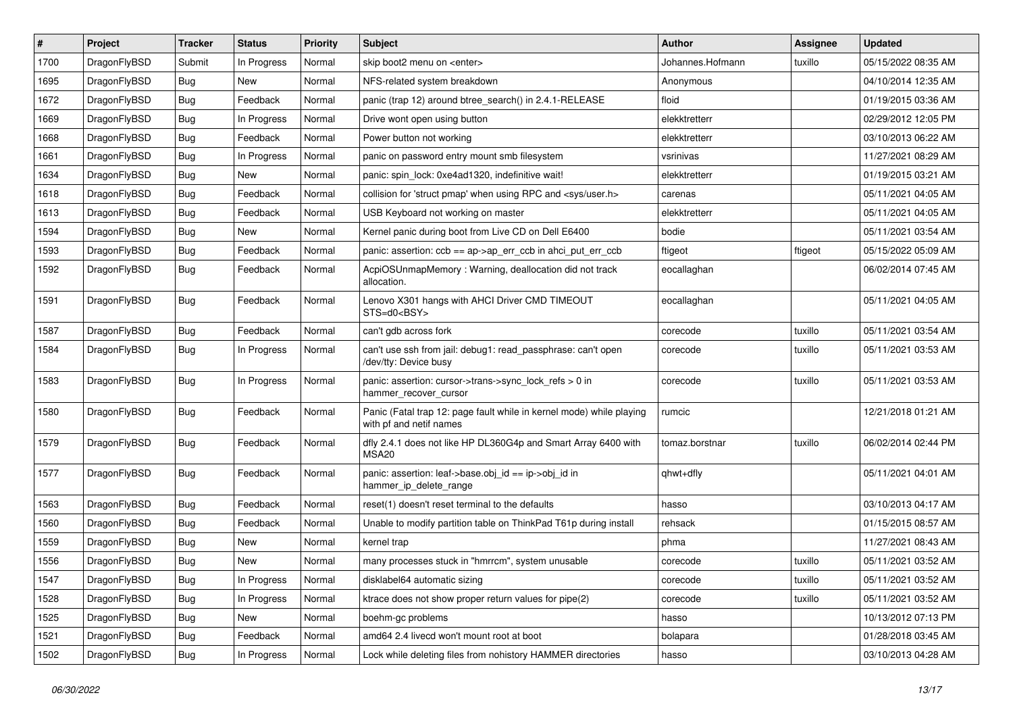| #    | Project      | <b>Tracker</b> | <b>Status</b> | <b>Priority</b> | Subject                                                                                         | <b>Author</b>    | <b>Assignee</b> | <b>Updated</b>      |
|------|--------------|----------------|---------------|-----------------|-------------------------------------------------------------------------------------------------|------------------|-----------------|---------------------|
| 1700 | DragonFlyBSD | Submit         | In Progress   | Normal          | skip boot2 menu on <enter></enter>                                                              | Johannes.Hofmann | tuxillo         | 05/15/2022 08:35 AM |
| 1695 | DragonFlyBSD | Bug            | New           | Normal          | NFS-related system breakdown                                                                    | Anonymous        |                 | 04/10/2014 12:35 AM |
| 1672 | DragonFlyBSD | <b>Bug</b>     | Feedback      | Normal          | panic (trap 12) around btree search() in 2.4.1-RELEASE                                          | floid            |                 | 01/19/2015 03:36 AM |
| 1669 | DragonFlyBSD | <b>Bug</b>     | In Progress   | Normal          | Drive wont open using button                                                                    | elekktretterr    |                 | 02/29/2012 12:05 PM |
| 1668 | DragonFlyBSD | Bug            | Feedback      | Normal          | Power button not working                                                                        | elekktretterr    |                 | 03/10/2013 06:22 AM |
| 1661 | DragonFlyBSD | <b>Bug</b>     | In Progress   | Normal          | panic on password entry mount smb filesystem                                                    | vsrinivas        |                 | 11/27/2021 08:29 AM |
| 1634 | DragonFlyBSD | Bug            | <b>New</b>    | Normal          | panic: spin_lock: 0xe4ad1320, indefinitive wait!                                                | elekktretterr    |                 | 01/19/2015 03:21 AM |
| 1618 | DragonFlyBSD | <b>Bug</b>     | Feedback      | Normal          | collision for 'struct pmap' when using RPC and <sys user.h=""></sys>                            | carenas          |                 | 05/11/2021 04:05 AM |
| 1613 | DragonFlyBSD | <b>Bug</b>     | Feedback      | Normal          | USB Keyboard not working on master                                                              | elekktretterr    |                 | 05/11/2021 04:05 AM |
| 1594 | DragonFlyBSD | Bug            | New           | Normal          | Kernel panic during boot from Live CD on Dell E6400                                             | bodie            |                 | 05/11/2021 03:54 AM |
| 1593 | DragonFlyBSD | <b>Bug</b>     | Feedback      | Normal          | panic: assertion: $ccb == ap$ ap- $\geq$ err $ccb$ in ahci put err $ccb$                        | ftigeot          | ftigeot         | 05/15/2022 05:09 AM |
| 1592 | DragonFlyBSD | <b>Bug</b>     | Feedback      | Normal          | AcpiOSUnmapMemory: Warning, deallocation did not track<br>allocation.                           | eocallaghan      |                 | 06/02/2014 07:45 AM |
| 1591 | DragonFlyBSD | Bug            | Feedback      | Normal          | Lenovo X301 hangs with AHCI Driver CMD TIMEOUT<br>STS=d0 <bsy></bsy>                            | eocallaghan      |                 | 05/11/2021 04:05 AM |
| 1587 | DragonFlyBSD | Bug            | Feedback      | Normal          | can't gdb across fork                                                                           | corecode         | tuxillo         | 05/11/2021 03:54 AM |
| 1584 | DragonFlyBSD | <b>Bug</b>     | In Progress   | Normal          | can't use ssh from jail: debug1: read_passphrase: can't open<br>/dev/tty: Device busy           | corecode         | tuxillo         | 05/11/2021 03:53 AM |
| 1583 | DragonFlyBSD | Bug            | In Progress   | Normal          | panic: assertion: cursor->trans->sync_lock_refs > 0 in<br>hammer_recover_cursor                 | corecode         | tuxillo         | 05/11/2021 03:53 AM |
| 1580 | DragonFlyBSD | Bug            | Feedback      | Normal          | Panic (Fatal trap 12: page fault while in kernel mode) while playing<br>with pf and netif names | rumcic           |                 | 12/21/2018 01:21 AM |
| 1579 | DragonFlyBSD | Bug            | Feedback      | Normal          | dfly 2.4.1 does not like HP DL360G4p and Smart Array 6400 with<br>MSA20                         | tomaz.borstnar   | tuxillo         | 06/02/2014 02:44 PM |
| 1577 | DragonFlyBSD | Bug            | Feedback      | Normal          | panic: assertion: leaf->base.obj_id == ip->obj_id in<br>hammer ip delete range                  | qhwt+dfly        |                 | 05/11/2021 04:01 AM |
| 1563 | DragonFlyBSD | Bug            | Feedback      | Normal          | reset(1) doesn't reset terminal to the defaults                                                 | hasso            |                 | 03/10/2013 04:17 AM |
| 1560 | DragonFlyBSD | Bug            | Feedback      | Normal          | Unable to modify partition table on ThinkPad T61p during install                                | rehsack          |                 | 01/15/2015 08:57 AM |
| 1559 | DragonFlyBSD | Bug            | <b>New</b>    | Normal          | kernel trap                                                                                     | phma             |                 | 11/27/2021 08:43 AM |
| 1556 | DragonFlyBSD | <b>Bug</b>     | New           | Normal          | many processes stuck in "hmrrcm", system unusable                                               | corecode         | tuxillo         | 05/11/2021 03:52 AM |
| 1547 | DragonFlyBSD | <b>Bug</b>     | In Progress   | Normal          | disklabel64 automatic sizing                                                                    | corecode         | tuxillo         | 05/11/2021 03:52 AM |
| 1528 | DragonFlyBSD | <b>Bug</b>     | In Progress   | Normal          | ktrace does not show proper return values for pipe(2)                                           | corecode         | tuxillo         | 05/11/2021 03:52 AM |
| 1525 | DragonFlyBSD | <b>Bug</b>     | New           | Normal          | boehm-gc problems                                                                               | hasso            |                 | 10/13/2012 07:13 PM |
| 1521 | DragonFlyBSD | <b>Bug</b>     | Feedback      | Normal          | amd64 2.4 livecd won't mount root at boot                                                       | bolapara         |                 | 01/28/2018 03:45 AM |
| 1502 | DragonFlyBSD | <b>Bug</b>     | In Progress   | Normal          | Lock while deleting files from nohistory HAMMER directories                                     | hasso            |                 | 03/10/2013 04:28 AM |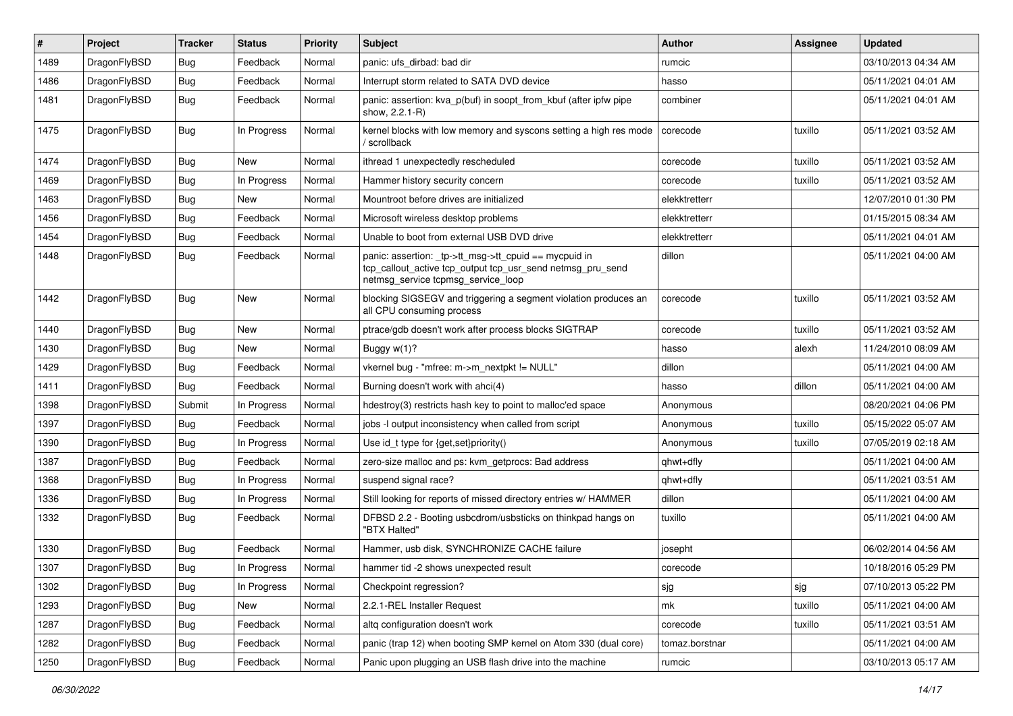| #    | Project      | <b>Tracker</b> | <b>Status</b> | <b>Priority</b> | Subject                                                                                                                                                   | <b>Author</b>  | Assignee | <b>Updated</b>      |
|------|--------------|----------------|---------------|-----------------|-----------------------------------------------------------------------------------------------------------------------------------------------------------|----------------|----------|---------------------|
| 1489 | DragonFlyBSD | Bug            | Feedback      | Normal          | panic: ufs_dirbad: bad dir                                                                                                                                | rumcic         |          | 03/10/2013 04:34 AM |
| 1486 | DragonFlyBSD | <b>Bug</b>     | Feedback      | Normal          | Interrupt storm related to SATA DVD device                                                                                                                | hasso          |          | 05/11/2021 04:01 AM |
| 1481 | DragonFlyBSD | Bug            | Feedback      | Normal          | panic: assertion: kva p(buf) in soopt from kbuf (after ipfw pipe<br>show, 2.2.1-R)                                                                        | combiner       |          | 05/11/2021 04:01 AM |
| 1475 | DragonFlyBSD | <b>Bug</b>     | In Progress   | Normal          | kernel blocks with low memory and syscons setting a high res mode<br>/ scrollback                                                                         | corecode       | tuxillo  | 05/11/2021 03:52 AM |
| 1474 | DragonFlyBSD | Bug            | <b>New</b>    | Normal          | ithread 1 unexpectedly rescheduled                                                                                                                        | corecode       | tuxillo  | 05/11/2021 03:52 AM |
| 1469 | DragonFlyBSD | Bug            | In Progress   | Normal          | Hammer history security concern                                                                                                                           | corecode       | tuxillo  | 05/11/2021 03:52 AM |
| 1463 | DragonFlyBSD | Bug            | <b>New</b>    | Normal          | Mountroot before drives are initialized                                                                                                                   | elekktretterr  |          | 12/07/2010 01:30 PM |
| 1456 | DragonFlyBSD | Bug            | Feedback      | Normal          | Microsoft wireless desktop problems                                                                                                                       | elekktretterr  |          | 01/15/2015 08:34 AM |
| 1454 | DragonFlyBSD | Bug            | Feedback      | Normal          | Unable to boot from external USB DVD drive                                                                                                                | elekktretterr  |          | 05/11/2021 04:01 AM |
| 1448 | DragonFlyBSD | Bug            | Feedback      | Normal          | panic: assertion: _tp->tt_msg->tt_cpuid == mycpuid in<br>tcp_callout_active tcp_output tcp_usr_send netmsg_pru_send<br>netmsg service tcpmsg service loop | dillon         |          | 05/11/2021 04:00 AM |
| 1442 | DragonFlyBSD | Bug            | New           | Normal          | blocking SIGSEGV and triggering a segment violation produces an<br>all CPU consuming process                                                              | corecode       | tuxillo  | 05/11/2021 03:52 AM |
| 1440 | DragonFlyBSD | Bug            | <b>New</b>    | Normal          | ptrace/gdb doesn't work after process blocks SIGTRAP                                                                                                      | corecode       | tuxillo  | 05/11/2021 03:52 AM |
| 1430 | DragonFlyBSD | Bug            | New           | Normal          | Buggy w(1)?                                                                                                                                               | hasso          | alexh    | 11/24/2010 08:09 AM |
| 1429 | DragonFlyBSD | Bug            | Feedback      | Normal          | vkernel bug - "mfree: m->m_nextpkt != NULL"                                                                                                               | dillon         |          | 05/11/2021 04:00 AM |
| 1411 | DragonFlyBSD | Bug            | Feedback      | Normal          | Burning doesn't work with ahci(4)                                                                                                                         | hasso          | dillon   | 05/11/2021 04:00 AM |
| 1398 | DragonFlyBSD | Submit         | In Progress   | Normal          | hdestroy(3) restricts hash key to point to malloc'ed space                                                                                                | Anonymous      |          | 08/20/2021 04:06 PM |
| 1397 | DragonFlyBSD | Bug            | Feedback      | Normal          | jobs -I output inconsistency when called from script                                                                                                      | Anonymous      | tuxillo  | 05/15/2022 05:07 AM |
| 1390 | DragonFlyBSD | Bug            | In Progress   | Normal          | Use id_t type for {get,set}priority()                                                                                                                     | Anonymous      | tuxillo  | 07/05/2019 02:18 AM |
| 1387 | DragonFlyBSD | Bug            | Feedback      | Normal          | zero-size malloc and ps: kvm getprocs: Bad address                                                                                                        | qhwt+dfly      |          | 05/11/2021 04:00 AM |
| 1368 | DragonFlyBSD | Bug            | In Progress   | Normal          | suspend signal race?                                                                                                                                      | qhwt+dfly      |          | 05/11/2021 03:51 AM |
| 1336 | DragonFlyBSD | Bug            | In Progress   | Normal          | Still looking for reports of missed directory entries w/ HAMMER                                                                                           | dillon         |          | 05/11/2021 04:00 AM |
| 1332 | DragonFlyBSD | Bug            | Feedback      | Normal          | DFBSD 2.2 - Booting usbcdrom/usbsticks on thinkpad hangs on<br>"BTX Halted"                                                                               | tuxillo        |          | 05/11/2021 04:00 AM |
| 1330 | DragonFlyBSD | Bug            | Feedback      | Normal          | Hammer, usb disk, SYNCHRONIZE CACHE failure                                                                                                               | josepht        |          | 06/02/2014 04:56 AM |
| 1307 | DragonFlyBSD | Bug            | In Progress   | Normal          | hammer tid -2 shows unexpected result                                                                                                                     | corecode       |          | 10/18/2016 05:29 PM |
| 1302 | DragonFlyBSD | <b>Bug</b>     | In Progress   | Normal          | Checkpoint regression?                                                                                                                                    | sjg            | sjg      | 07/10/2013 05:22 PM |
| 1293 | DragonFlyBSD | <b>Bug</b>     | New           | Normal          | 2.2.1-REL Installer Request                                                                                                                               | mk             | tuxillo  | 05/11/2021 04:00 AM |
| 1287 | DragonFlyBSD | Bug            | Feedback      | Normal          | altq configuration doesn't work                                                                                                                           | corecode       | tuxillo  | 05/11/2021 03:51 AM |
| 1282 | DragonFlyBSD | <b>Bug</b>     | Feedback      | Normal          | panic (trap 12) when booting SMP kernel on Atom 330 (dual core)                                                                                           | tomaz.borstnar |          | 05/11/2021 04:00 AM |
| 1250 | DragonFlyBSD | <b>Bug</b>     | Feedback      | Normal          | Panic upon plugging an USB flash drive into the machine                                                                                                   | rumcic         |          | 03/10/2013 05:17 AM |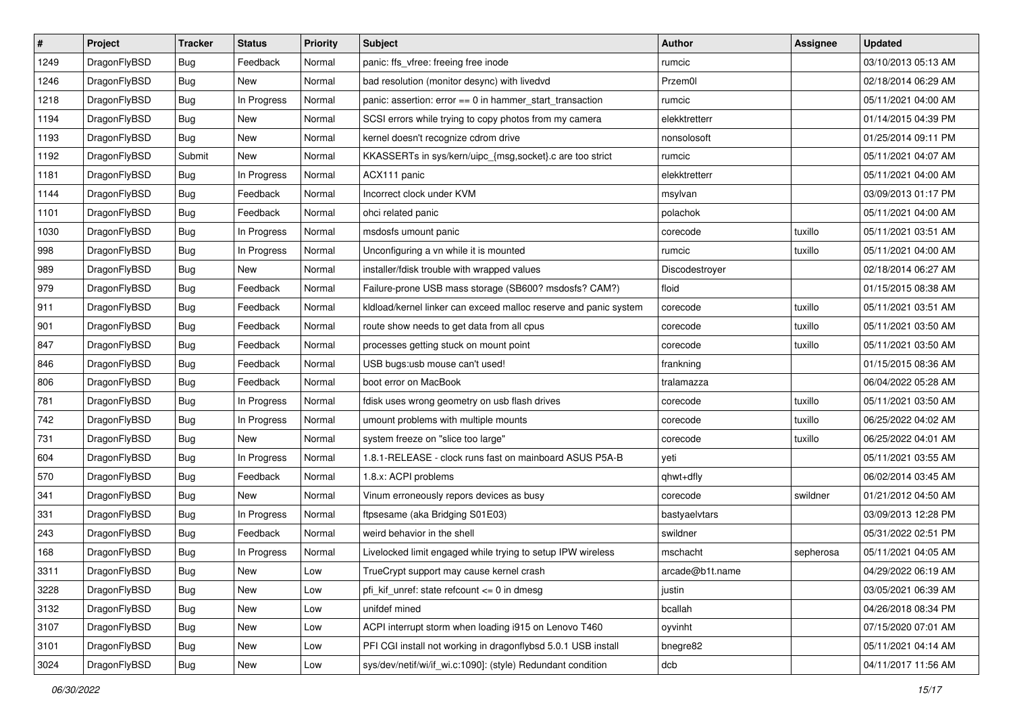| $\sharp$ | Project      | <b>Tracker</b> | <b>Status</b> | <b>Priority</b> | Subject                                                          | <b>Author</b>   | Assignee  | <b>Updated</b>      |
|----------|--------------|----------------|---------------|-----------------|------------------------------------------------------------------|-----------------|-----------|---------------------|
| 1249     | DragonFlyBSD | Bug            | Feedback      | Normal          | panic: ffs_vfree: freeing free inode                             | rumcic          |           | 03/10/2013 05:13 AM |
| 1246     | DragonFlyBSD | Bug            | <b>New</b>    | Normal          | bad resolution (monitor desync) with livedvd                     | Przem0l         |           | 02/18/2014 06:29 AM |
| 1218     | DragonFlyBSD | Bug            | In Progress   | Normal          | panic: assertion: error == 0 in hammer_start_transaction         | rumcic          |           | 05/11/2021 04:00 AM |
| 1194     | DragonFlyBSD | <b>Bug</b>     | New           | Normal          | SCSI errors while trying to copy photos from my camera           | elekktretterr   |           | 01/14/2015 04:39 PM |
| 1193     | DragonFlyBSD | Bug            | <b>New</b>    | Normal          | kernel doesn't recognize cdrom drive                             | nonsolosoft     |           | 01/25/2014 09:11 PM |
| 1192     | DragonFlyBSD | Submit         | New           | Normal          | KKASSERTs in sys/kern/uipc_{msg,socket}.c are too strict         | rumcic          |           | 05/11/2021 04:07 AM |
| 1181     | DragonFlyBSD | Bug            | In Progress   | Normal          | ACX111 panic                                                     | elekktretterr   |           | 05/11/2021 04:00 AM |
| 1144     | DragonFlyBSD | Bug            | Feedback      | Normal          | Incorrect clock under KVM                                        | msylvan         |           | 03/09/2013 01:17 PM |
| 1101     | DragonFlyBSD | <b>Bug</b>     | Feedback      | Normal          | ohci related panic                                               | polachok        |           | 05/11/2021 04:00 AM |
| 1030     | DragonFlyBSD | Bug            | In Progress   | Normal          | msdosfs umount panic                                             | corecode        | tuxillo   | 05/11/2021 03:51 AM |
| 998      | DragonFlyBSD | Bug            | In Progress   | Normal          | Unconfiguring a vn while it is mounted                           | rumcic          | tuxillo   | 05/11/2021 04:00 AM |
| 989      | DragonFlyBSD | <b>Bug</b>     | <b>New</b>    | Normal          | installer/fdisk trouble with wrapped values                      | Discodestroyer  |           | 02/18/2014 06:27 AM |
| 979      | DragonFlyBSD | <b>Bug</b>     | Feedback      | Normal          | Failure-prone USB mass storage (SB600? msdosfs? CAM?)            | floid           |           | 01/15/2015 08:38 AM |
| 911      | DragonFlyBSD | Bug            | Feedback      | Normal          | kldload/kernel linker can exceed malloc reserve and panic system | corecode        | tuxillo   | 05/11/2021 03:51 AM |
| 901      | DragonFlyBSD | Bug            | Feedback      | Normal          | route show needs to get data from all cpus                       | corecode        | tuxillo   | 05/11/2021 03:50 AM |
| 847      | DragonFlyBSD | <b>Bug</b>     | Feedback      | Normal          | processes getting stuck on mount point                           | corecode        | tuxillo   | 05/11/2021 03:50 AM |
| 846      | DragonFlyBSD | <b>Bug</b>     | Feedback      | Normal          | USB bugs:usb mouse can't used!                                   | frankning       |           | 01/15/2015 08:36 AM |
| 806      | DragonFlyBSD | Bug            | Feedback      | Normal          | boot error on MacBook                                            | tralamazza      |           | 06/04/2022 05:28 AM |
| 781      | DragonFlyBSD | <b>Bug</b>     | In Progress   | Normal          | fdisk uses wrong geometry on usb flash drives                    | corecode        | tuxillo   | 05/11/2021 03:50 AM |
| 742      | DragonFlyBSD | Bug            | In Progress   | Normal          | umount problems with multiple mounts                             | corecode        | tuxillo   | 06/25/2022 04:02 AM |
| 731      | DragonFlyBSD | Bug            | New           | Normal          | system freeze on "slice too large"                               | corecode        | tuxillo   | 06/25/2022 04:01 AM |
| 604      | DragonFlyBSD | <b>Bug</b>     | In Progress   | Normal          | 1.8.1-RELEASE - clock runs fast on mainboard ASUS P5A-B          | yeti            |           | 05/11/2021 03:55 AM |
| 570      | DragonFlyBSD | Bug            | Feedback      | Normal          | 1.8.x: ACPI problems                                             | qhwt+dfly       |           | 06/02/2014 03:45 AM |
| 341      | DragonFlyBSD | <b>Bug</b>     | New           | Normal          | Vinum erroneously repors devices as busy                         | corecode        | swildner  | 01/21/2012 04:50 AM |
| 331      | DragonFlyBSD | Bug            | In Progress   | Normal          | ftpsesame (aka Bridging S01E03)                                  | bastyaelvtars   |           | 03/09/2013 12:28 PM |
| 243      | DragonFlyBSD | Bug            | Feedback      | Normal          | weird behavior in the shell                                      | swildner        |           | 05/31/2022 02:51 PM |
| 168      | DragonFlyBSD | Bug            | In Progress   | Normal          | Livelocked limit engaged while trying to setup IPW wireless      | mschacht        | sepherosa | 05/11/2021 04:05 AM |
| 3311     | DragonFlyBSD | <b>Bug</b>     | New           | Low             | TrueCrypt support may cause kernel crash                         | arcade@b1t.name |           | 04/29/2022 06:19 AM |
| 3228     | DragonFlyBSD | Bug            | New           | Low             | pfi kif unref: state refcount $\leq$ 0 in dmesg                  | justin          |           | 03/05/2021 06:39 AM |
| 3132     | DragonFlyBSD | <b>Bug</b>     | New           | Low             | unifdef mined                                                    | bcallah         |           | 04/26/2018 08:34 PM |
| 3107     | DragonFlyBSD | <b>Bug</b>     | <b>New</b>    | Low             | ACPI interrupt storm when loading i915 on Lenovo T460            | oyvinht         |           | 07/15/2020 07:01 AM |
| 3101     | DragonFlyBSD | <b>Bug</b>     | New           | Low             | PFI CGI install not working in dragonflybsd 5.0.1 USB install    | bnegre82        |           | 05/11/2021 04:14 AM |
| 3024     | DragonFlyBSD | <b>Bug</b>     | New           | Low             | sys/dev/netif/wi/if_wi.c:1090]: (style) Redundant condition      | dcb             |           | 04/11/2017 11:56 AM |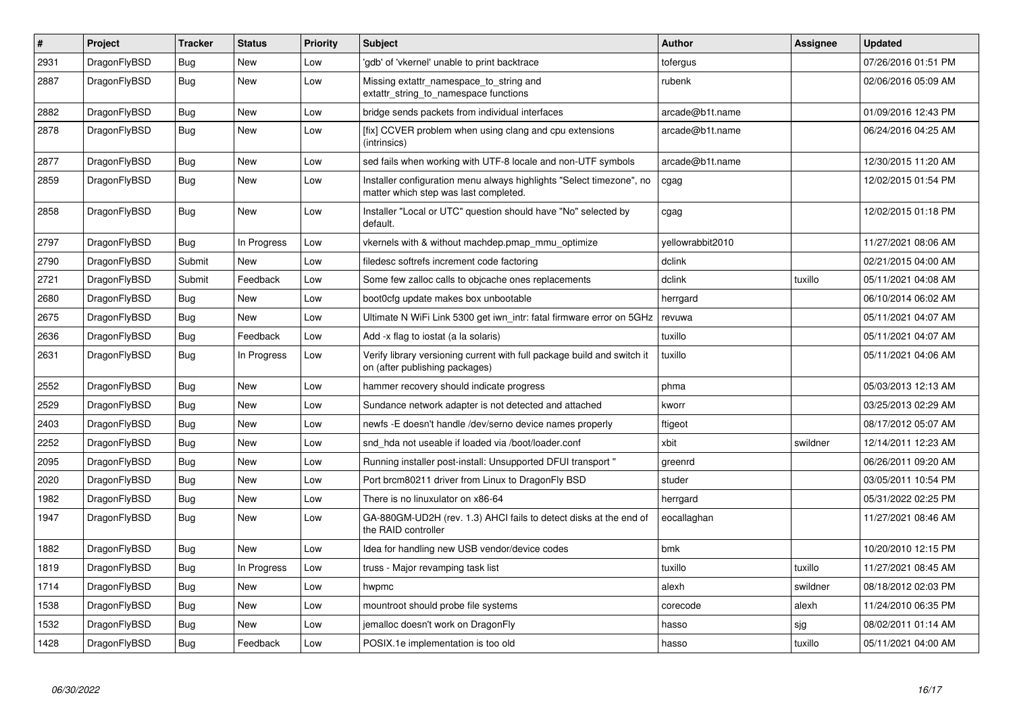| $\vert$ # | Project      | <b>Tracker</b> | <b>Status</b> | <b>Priority</b> | <b>Subject</b>                                                                                                | <b>Author</b>    | Assignee | <b>Updated</b>      |
|-----------|--------------|----------------|---------------|-----------------|---------------------------------------------------------------------------------------------------------------|------------------|----------|---------------------|
| 2931      | DragonFlyBSD | Bug            | <b>New</b>    | Low             | 'gdb' of 'vkernel' unable to print backtrace                                                                  | tofergus         |          | 07/26/2016 01:51 PM |
| 2887      | DragonFlyBSD | Bug            | <b>New</b>    | Low             | Missing extattr namespace to string and<br>extattr string to namespace functions                              | rubenk           |          | 02/06/2016 05:09 AM |
| 2882      | DragonFlyBSD | <b>Bug</b>     | <b>New</b>    | Low             | bridge sends packets from individual interfaces                                                               | arcade@b1t.name  |          | 01/09/2016 12:43 PM |
| 2878      | DragonFlyBSD | Bug            | New           | Low             | [fix] CCVER problem when using clang and cpu extensions<br>(intrinsics)                                       | arcade@b1t.name  |          | 06/24/2016 04:25 AM |
| 2877      | DragonFlyBSD | Bug            | <b>New</b>    | Low             | sed fails when working with UTF-8 locale and non-UTF symbols                                                  | arcade@b1t.name  |          | 12/30/2015 11:20 AM |
| 2859      | DragonFlyBSD | <b>Bug</b>     | <b>New</b>    | Low             | Installer configuration menu always highlights "Select timezone", no<br>matter which step was last completed. | cgag             |          | 12/02/2015 01:54 PM |
| 2858      | DragonFlyBSD | <b>Bug</b>     | New           | Low             | Installer "Local or UTC" question should have "No" selected by<br>default.                                    | cgag             |          | 12/02/2015 01:18 PM |
| 2797      | DragonFlyBSD | Bug            | In Progress   | Low             | vkernels with & without machdep.pmap mmu optimize                                                             | vellowrabbit2010 |          | 11/27/2021 08:06 AM |
| 2790      | DragonFlyBSD | Submit         | <b>New</b>    | Low             | filedesc softrefs increment code factoring                                                                    | dclink           |          | 02/21/2015 04:00 AM |
| 2721      | DragonFlyBSD | Submit         | Feedback      | Low             | Some few zalloc calls to objcache ones replacements                                                           | dclink           | tuxillo  | 05/11/2021 04:08 AM |
| 2680      | DragonFlyBSD | <b>Bug</b>     | <b>New</b>    | Low             | boot0cfg update makes box unbootable                                                                          | herrgard         |          | 06/10/2014 06:02 AM |
| 2675      | DragonFlyBSD | Bug            | New           | Low             | Ultimate N WiFi Link 5300 get iwn intr: fatal firmware error on 5GHz                                          | revuwa           |          | 05/11/2021 04:07 AM |
| 2636      | DragonFlyBSD | <b>Bug</b>     | Feedback      | Low             | Add -x flag to iostat (a la solaris)                                                                          | tuxillo          |          | 05/11/2021 04:07 AM |
| 2631      | DragonFlyBSD | Bug            | In Progress   | Low             | Verify library versioning current with full package build and switch it<br>on (after publishing packages)     | tuxillo          |          | 05/11/2021 04:06 AM |
| 2552      | DragonFlyBSD | Bug            | New           | Low             | hammer recovery should indicate progress                                                                      | phma             |          | 05/03/2013 12:13 AM |
| 2529      | DragonFlyBSD | <b>Bug</b>     | New           | Low             | Sundance network adapter is not detected and attached                                                         | kworr            |          | 03/25/2013 02:29 AM |
| 2403      | DragonFlyBSD | Bug            | New           | Low             | newfs -E doesn't handle /dev/serno device names properly                                                      | ftigeot          |          | 08/17/2012 05:07 AM |
| 2252      | DragonFlyBSD | Bug            | <b>New</b>    | Low             | snd hda not useable if loaded via /boot/loader.conf                                                           | xbit             | swildner | 12/14/2011 12:23 AM |
| 2095      | DragonFlyBSD | Bug            | <b>New</b>    | Low             | Running installer post-install: Unsupported DFUI transport "                                                  | greenrd          |          | 06/26/2011 09:20 AM |
| 2020      | DragonFlyBSD | Bug            | <b>New</b>    | Low             | Port brcm80211 driver from Linux to DragonFly BSD                                                             | studer           |          | 03/05/2011 10:54 PM |
| 1982      | DragonFlyBSD | <b>Bug</b>     | <b>New</b>    | Low             | There is no linuxulator on x86-64                                                                             | herrgard         |          | 05/31/2022 02:25 PM |
| 1947      | DragonFlyBSD | Bug            | <b>New</b>    | Low             | GA-880GM-UD2H (rev. 1.3) AHCI fails to detect disks at the end of<br>the RAID controller                      | eocallaghan      |          | 11/27/2021 08:46 AM |
| 1882      | DragonFlyBSD | <b>Bug</b>     | <b>New</b>    | Low             | Idea for handling new USB vendor/device codes                                                                 | bmk              |          | 10/20/2010 12:15 PM |
| 1819      | DragonFlyBSD | <b>Bug</b>     | In Progress   | Low             | truss - Major revamping task list                                                                             | tuxillo          | tuxillo  | 11/27/2021 08:45 AM |
| 1714      | DragonFlyBSD | Bug            | <b>New</b>    | Low             | hwpmc                                                                                                         | alexh            | swildner | 08/18/2012 02:03 PM |
| 1538      | DragonFlyBSD | Bug            | <b>New</b>    | Low             | mountroot should probe file systems                                                                           | corecode         | alexh    | 11/24/2010 06:35 PM |
| 1532      | DragonFlyBSD | Bug            | New           | Low             | jemalloc doesn't work on DragonFly                                                                            | hasso            | sjg      | 08/02/2011 01:14 AM |
| 1428      | DragonFlyBSD | Bug            | Feedback      | Low             | POSIX.1e implementation is too old                                                                            | hasso            | tuxillo  | 05/11/2021 04:00 AM |